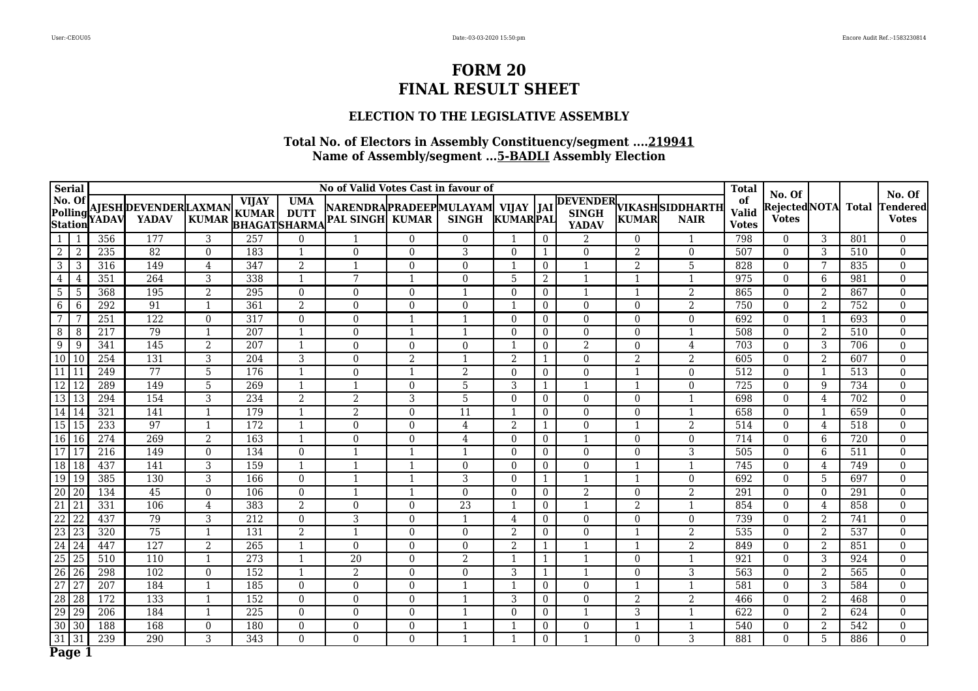### **ELECTION TO THE LEGISLATIVE ASSEMBLY**

| <b>Serial</b>                        |                 |       |                                       |                |                                                     |                           | No of Valid Votes Cast in favour of                          |                |                 |                |                |                          |                |                                         | <b>Total</b>                       | No. Of                       |                |              | No. Of                   |
|--------------------------------------|-----------------|-------|---------------------------------------|----------------|-----------------------------------------------------|---------------------------|--------------------------------------------------------------|----------------|-----------------|----------------|----------------|--------------------------|----------------|-----------------------------------------|------------------------------------|------------------------------|----------------|--------------|--------------------------|
| $\vert$ No. Of<br>Polling<br>Station |                 | YADAV | AJESH DEVENDER LAXMAN<br><b>YADAV</b> | <b>KUMAR</b>   | <b>VIJAY</b><br><b>KUMAR</b><br><b>BHAGATSHARMA</b> | <b>UMA</b><br><b>DUTT</b> | NARENDRAPRADEEPMULAYAM  VIJAY  JAI<br><b>PAL SINGH KUMAR</b> |                | <b>SINGH</b>    | KUMARPAL       |                | <b>YADAV</b>             | <b>KUMAR</b>   | DEVENDER VIKASHSIDDHARTH<br><b>NAIR</b> | of<br><b>Valid</b><br><b>Votes</b> | RejectedNOTA<br><b>Votes</b> |                | <b>Total</b> | Tendered<br><b>Votes</b> |
| 1                                    | -1              | 356   | 177                                   | 3              | 257                                                 | $\Omega$                  | $\mathbf{1}$                                                 | $\Omega$       | $\Omega$        | $\mathbf{1}$   | $\overline{0}$ | 2                        | 0              | 1                                       | 798                                | $\Omega$                     | 3              | 801          | $\Omega$                 |
| $\boldsymbol{2}$                     | $\overline{2}$  | 235   | 82                                    | $\theta$       | 183                                                 | $\mathbf{1}$              | $\Omega$                                                     | $\theta$       | 3               | $\theta$       | 1              | $\Omega$                 | 2              | $\overline{0}$                          | 507                                | $\Omega$                     | 3              | 510          | $\Omega$                 |
| $\overline{3}$                       | 3               | 316   | 149                                   | $\overline{4}$ | 347                                                 | $\overline{2}$            | $\mathbf{1}$                                                 | $\Omega$       | $\Omega$        |                | $\overline{0}$ |                          | $\overline{2}$ | $\overline{5}$                          | 828                                | $\theta$                     |                | 835          | $\theta$                 |
| 4                                    | $\overline{4}$  | 351   | 264                                   | 3              | 338                                                 | $\mathbf{1}$              | 7                                                            |                | $\Omega$        | 5              | 2              |                          |                | -1                                      | 975                                | $\Omega$                     | 6              | 981          | $\theta$                 |
| $\overline{5}$                       | -5              | 368   | 195                                   | $\overline{2}$ | 295                                                 | $\theta$                  | $\overline{0}$                                               | $\Omega$       | 1               | $\theta$       | $\overline{0}$ | -1                       |                | $\overline{2}$                          | 865                                | $\theta$                     | 2              | 867          | $\Omega$                 |
| 6                                    | 6               | 292   | 91                                    |                | 361                                                 | 2                         | $\mathbf{0}$                                                 | $\Omega$       | $\Omega$        |                | $\overline{0}$ | $\mathbf{0}$             | $\Omega$       | $\overline{2}$                          | 750                                | $\Omega$                     | 2              | 752          | $\theta$                 |
| $\overline{7}$                       | 7               | 251   | 122                                   | $\theta$       | 317                                                 | $\Omega$                  | $\overline{0}$                                               | $\mathbf{1}$   | $\mathbf{1}$    | $\theta$       | $\overline{0}$ | $\mathbf{0}$             | $\overline{0}$ | $\overline{0}$                          | 692                                | $\mathbf{0}$                 | $\mathbf{1}$   | 693          | $\theta$                 |
| 8                                    | -8              | 217   | 79                                    |                | 207                                                 |                           | $\Omega$                                                     |                |                 | $\Omega$       | $\overline{0}$ | $\Omega$                 | 0              |                                         | 508                                | $\theta$                     | $\overline{2}$ | 510          | $\theta$                 |
| 9                                    | 9               | 341   | 145                                   | $\overline{2}$ | $\overline{207}$                                    | $\mathbf{1}$              | $\Omega$                                                     | $\Omega$       | $\Omega$        |                | $\overline{0}$ | $\overline{2}$           | $\Omega$       | 4                                       | 703                                | $\theta$                     | 3              | 706          | $\theta$                 |
| $\boxed{10}$ $\boxed{10}$            |                 | 254   | 131                                   | 3              | 204                                                 | 3                         | $\overline{0}$                                               | $\overline{2}$ |                 | 2              | 1              | $\mathbf{0}$             | $\overline{2}$ | $\overline{2}$                          | 605                                | $\mathbf{0}$                 | 2              | 607          | $\theta$                 |
| $\overline{11}$                      | l 11            | 249   | 77                                    | 5              | 176                                                 | $\mathbf{1}$              | $\overline{0}$                                               | -1             | 2               | $\theta$       | $\overline{0}$ | $\overline{0}$           |                | $\overline{0}$                          | 512                                | $\overline{0}$               | $\mathbf 1$    | 513          | $\theta$                 |
| $\overline{12}$                      | 12              | 289   | 149                                   | 5              | 269                                                 | $\mathbf{1}$              |                                                              | $\mathbf{0}$   | 5               | 3              | 1              |                          |                | $\overline{0}$                          | 725                                | $\mathbf{0}$                 | 9              | 734          | $\overline{0}$           |
| 13 13                                |                 | 294   | 154                                   | 3              | 234                                                 | 2                         | $\overline{2}$                                               | 3              | 5               | $\theta$       | $\overline{0}$ | $\Omega$                 | $\Omega$       | $\mathbf{1}$                            | 698                                | $\theta$                     | 4              | 702          | $\Omega$                 |
| 14 14                                |                 | 321   | 141                                   | $\mathbf{1}$   | 179                                                 | $\mathbf{1}$              | $\overline{2}$                                               | $\Omega$       | 11              | $\mathbf 1$    | $\overline{0}$ | $\Omega$                 | 0              | $\overline{1}$                          | 658                                | $\theta$                     | $\mathbf{1}$   | 659          | $\Omega$                 |
| $\overline{15}$                      | 15              | 233   | 97                                    | $\overline{1}$ | 172                                                 | $\mathbf{1}$              | $\Omega$                                                     | $\Omega$       | 4               | 2              | $\mathbf{1}$   | $\Omega$                 | $\mathbf{1}$   | 2                                       | 514                                | $\Omega$                     | 4              | 518          | $\Omega$                 |
| 16                                   | 16              | 274   | 269                                   | 2              | 163                                                 | -1                        | $\overline{0}$                                               | $\Omega$       | $\overline{4}$  | $\overline{0}$ | $\overline{0}$ | $\overline{\phantom{a}}$ | $\theta$       | $\mathbf{0}$                            | 714                                | $\mathbf{0}$                 | 6              | 720          | $\overline{0}$           |
| $\overline{17}$                      | 17              | 216   | 149                                   | $\theta$       | 134                                                 | $\Omega$                  | 1                                                            | -1             | 1               | $\theta$       | $\overline{0}$ | $\mathbf{0}$             | 0              | $\overline{3}$                          | 505                                | $\overline{0}$               | 6              | 511          | $\Omega$                 |
| $\overline{18}$                      | 18              | 437   | 141                                   | 3              | 159                                                 | $\mathbf{1}$              | $\mathbf{1}$                                                 | -1             | $\Omega$        | $\theta$       | $\overline{0}$ | $\theta$                 |                | $\overline{1}$                          | 745                                | $\Omega$                     | 4              | 749          | $\theta$                 |
| 19                                   | $\sqrt{19}$     | 385   | 130                                   | 3              | 166                                                 | $\theta$                  | $\mathbf 1$                                                  | -1             | 3               | $\Omega$       | 1              |                          |                | $\Omega$                                | 692                                | $\Omega$                     | 5              | 697          | $\theta$                 |
| 20                                   | 20              | 134   | $\overline{45}$                       | $\theta$       | 106                                                 | $\Omega$                  |                                                              | -1             | $\Omega$        | $\theta$       | $\overline{0}$ | $\overline{2}$           | 0              | $\overline{2}$                          | 291                                | $\theta$                     | $\theta$       | 291          | $\theta$                 |
| $\overline{21}$                      | 21              | 331   | 106                                   | 4              | 383                                                 | $\overline{2}$            | $\mathbf{0}$                                                 | $\Omega$       | $\overline{23}$ |                | $\overline{0}$ |                          | 2              | $\mathbf{1}$                            | 854                                | $\Omega$                     | 4              | 858          | $\Omega$                 |
| $\overline{22}$                      | 22              | 437   | 79                                    | 3              | 212                                                 | $\Omega$                  | 3                                                            | $\Omega$       | 1               | $\overline{4}$ | $\bf{0}$       | $\mathbf{0}$             | $\Omega$       | $\overline{0}$                          | 739                                | $\mathbf{0}$                 | 2              | 741          | $\Omega$                 |
| $\overline{23}$                      | 23              | 320   | 75                                    | $\mathbf{1}$   | 131                                                 | $\overline{2}$            | $\mathbf{1}$                                                 | $\Omega$       | $\Omega$        | 2              | $\overline{0}$ | $\mathbf{0}$             |                | 2                                       | 535                                | $\mathbf{0}$                 | 2              | 537          | $\overline{0}$           |
| $\overline{24}$                      | 24              | 447   | $\overline{127}$                      | $\overline{2}$ | $\overline{265}$                                    | -1                        | $\Omega$                                                     | $\Omega$       | $\Omega$        | $\overline{2}$ | $\mathbf{1}$   |                          |                | $\overline{2}$                          | 849                                | $\theta$                     | $\overline{2}$ | 851          | $\theta$                 |
| $\overline{25}$                      | 25              | 510   | 110                                   |                | 273                                                 |                           | $\overline{20}$                                              | $\Omega$       | $\overline{2}$  |                | 1              |                          | 0              | $\mathbf{1}$                            | 921                                | $\theta$                     | 3              | 924          | $\theta$                 |
| $\overline{26}$                      | 26              | 298   | 102                                   | $\theta$       | 152                                                 | $\mathbf{1}$              | $\overline{2}$                                               | $\Omega$       | $\Omega$        | 3              | 1              | $\overline{\phantom{a}}$ | 0              | $\overline{3}$                          | 563                                | $\overline{0}$               | $\overline{2}$ | 565          | $\theta$                 |
| $\overline{27}$                      | $\overline{27}$ | 207   | 184                                   | $\mathbf{1}$   | 185                                                 | $\mathbf{0}$              | $\overline{0}$                                               | $\Omega$       | 1               |                | $\overline{0}$ | $\mathbf{0}$             |                | $\mathbf{1}$                            | 581                                | $\overline{0}$               | 3              | 584          | $\overline{0}$           |
| $\sqrt{28}$                          | 28              | 172   | 133                                   | $\mathbf{1}$   | 152                                                 | $\Omega$                  | $\overline{0}$                                               | $\Omega$       | $\mathbf{1}$    | 3              | $\bf{0}$       | $\mathbf{0}$             | 2              | $\overline{2}$                          | 466                                | $\mathbf{0}$                 | $\overline{2}$ | 468          | $\theta$                 |
| 29                                   | $\overline{29}$ | 206   | 184                                   | $\mathbf{1}$   | 225                                                 | $\Omega$                  | $\Omega$                                                     | $\Omega$       | 1               | $\theta$       | $\overline{0}$ | $\overline{\phantom{a}}$ | 3              | $\mathbf{1}$                            | 622                                | $\Omega$                     | $\overline{2}$ | 624          | $\theta$                 |
| $\overline{30}$                      | $\overline{30}$ | 188   | 168                                   | $\Omega$       | 180                                                 | $\Omega$                  | $\Omega$                                                     | $\Omega$       | 1               |                | $\overline{0}$ | $\mathbf{0}$             |                | $\overline{\mathbf{1}}$                 | 540                                | $\Omega$                     | 2              | 542          | $\Omega$                 |
| $31 \overline{)31}$                  |                 | 239   | 290                                   | 3              | 343                                                 | $\Omega$                  | $\Omega$                                                     | $\Omega$       | 1               |                | $\overline{0}$ | 1                        | $\Omega$       | 3                                       | 881                                | $\Omega$                     | 5              | 886          | $\Omega$                 |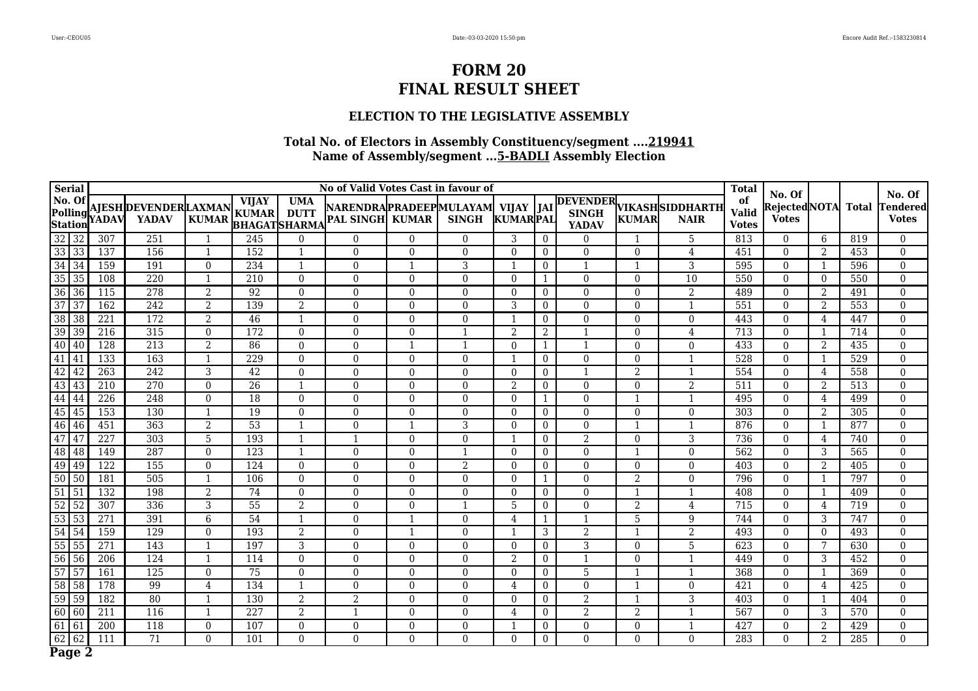### **ELECTION TO THE LEGISLATIVE ASSEMBLY**

| <b>Serial</b>                       |             |                  |                                              |                |                                                     |                           | No of Valid Votes Cast in favour of                     |          |                |                          |                  |                |                  |                                         | <b>Total</b>                       | No. Of                        |                |              | No. Of                   |
|-------------------------------------|-------------|------------------|----------------------------------------------|----------------|-----------------------------------------------------|---------------------------|---------------------------------------------------------|----------|----------------|--------------------------|------------------|----------------|------------------|-----------------------------------------|------------------------------------|-------------------------------|----------------|--------------|--------------------------|
| No. Of<br>Polling<br><b>Station</b> |             | YADAV            | <b>AJESH DEVENDER LAXMAN</b><br><b>YADAV</b> | <b>KUMAR</b>   | <b>VIJAY</b><br><b>KUMAR</b><br><b>BHAGATSHARMA</b> | <b>UMA</b><br><b>DUTT</b> | NARENDRAPRADEEPMULAYAM  VIJAY<br><b>PAL SINGH KUMAR</b> |          | <b>SINGH</b>   | <b>KUMARPAL</b>          | JAI              | <b>YADAV</b>   | <b>KUMAR</b>     | DEVENDER VIKASHSIDDHARTH<br><b>NAIR</b> | of<br><b>Valid</b><br><b>Votes</b> | Rejected NOTA<br><b>Votes</b> |                | <b>Total</b> | Tendered<br><b>Votes</b> |
| $32 \mid 32$                        |             | 307              | 251                                          | $\mathbf 1$    | 245                                                 | $\theta$                  | $\theta$                                                | $\Omega$ | $\Omega$       | 3                        | $\theta$         | $\Omega$       |                  | 5                                       | 813                                | $\Omega$                      | 6              | 819          | $\Omega$                 |
| 33 33                               |             | 137              | 156                                          | $\mathbf{1}$   | 152                                                 | -1                        | $\Omega$                                                | $\theta$ | $\Omega$       | $\Omega$                 | $\overline{0}$   | $\mathbf{0}$   | $\Omega$         | 4                                       | 451                                | $\Omega$                      | 2              | 453          | $\overline{0}$           |
| $34 \overline{\smash{)}34}$         |             | 159              | 191                                          | $\theta$       | 234                                                 | 1                         | $\theta$                                                |          | 3              | $\mathbf{1}$             | $\theta$         | $\mathbf{1}$   |                  | 3                                       | 595                                | $\Omega$                      | 1              | 596          | $\theta$                 |
| 35 35                               |             | 108              | 220                                          | $\mathbf{1}$   | 210                                                 | $\overline{0}$            | $\boldsymbol{0}$                                        | $\Omega$ | $\Omega$       | $\Omega$                 | $\mathbf{1}$     | $\mathbf{0}$   | $\overline{0}$   | 10                                      | 550                                | $\overline{0}$                | $\Omega$       | 550          | $\boldsymbol{0}$         |
| 36 36                               |             | 115              | 278                                          | $\overline{2}$ | 92                                                  | $\theta$                  | $\theta$                                                | $\Omega$ | $\Omega$       | $\theta$                 | $\theta$         | $\theta$       | $\Omega$         | $\overline{2}$                          | 489                                | $\Omega$                      | 2              | 491          | $\theta$                 |
| $37 \mid 37$                        |             | 162              | 242                                          | $\mathfrak{D}$ | 139                                                 | 2                         | $\mathbf{0}$                                            | $\Omega$ | $\Omega$       | 3                        | $\overline{0}$   | $\theta$       | $\theta$         | $\mathbf{1}$                            | 551                                | $\overline{0}$                | 2              | 553          | $\theta$                 |
| 38 38                               |             | 221              | 172                                          | $\overline{2}$ | 46                                                  | $\mathbf{1}$              | $\boldsymbol{0}$                                        | $\Omega$ | $\Omega$       | $\overline{1}$           | $\overline{0}$   | $\mathbf{0}$   | $\boldsymbol{0}$ | $\boldsymbol{0}$                        | 443                                | $\boldsymbol{0}$              | 4              | 447          | $\boldsymbol{0}$         |
| 39 39                               |             | 216              | 315                                          | $\theta$       | 172                                                 | $\overline{0}$            | $\boldsymbol{0}$                                        | $\Omega$ | $\mathbf{1}$   | 2                        | 2                | $\mathbf{1}$   | $\boldsymbol{0}$ | 4                                       | 713                                | $\overline{0}$                | $\mathbf 1$    | 714          | $\theta$                 |
| 40 40                               |             | $\overline{128}$ | $\overline{213}$                             | $\overline{2}$ | 86                                                  | $\overline{0}$            | $\boldsymbol{0}$                                        |          | $\mathbf{1}$   | $\theta$                 | $\mathbf{1}$     | $\mathbf{1}$   | $\Omega$         | $\boldsymbol{0}$                        | 433                                | $\overline{0}$                | 2              | 435          | $\theta$                 |
| $\boxed{41}$ $\boxed{41}$           |             | 133              | 163                                          | $\mathbf{1}$   | 229                                                 | $\theta$                  | $\mathbf{0}$                                            | $\Omega$ | $\Omega$       | $\overline{1}$           | $\overline{0}$   | $\Omega$       | $\Omega$         | $\mathbf{1}$                            | 528                                | $\Omega$                      | 1              | 529          | $\Omega$                 |
| 42 42                               |             | $\overline{263}$ | 242                                          | 3              | 42                                                  | $\overline{0}$            | $\boldsymbol{0}$                                        | $\Omega$ | $\Omega$       | $\mathbf{0}$             | $\overline{0}$   | $\mathbf{1}$   | $\overline{2}$   | $\mathbf{1}$                            | 554                                | $\overline{0}$                | 4              | 558          | $\boldsymbol{0}$         |
| $\boxed{43}$ $\boxed{43}$           |             | 210              | 270                                          | $\Omega$       | 26                                                  | $\mathbf{1}$              | $\mathbf{0}$                                            | $\Omega$ | $\Omega$       | 2                        | $\theta$         | $\theta$       | $\Omega$         | $\overline{2}$                          | 511                                | $\Omega$                      | 2              | 513          | $\theta$                 |
| 44 44                               |             | 226              | 248                                          | $\Omega$       | 18                                                  | $\theta$                  | $\mathbf{0}$                                            | $\Omega$ | $\Omega$       | $\theta$                 | $\mathbf{1}$     | $\mathbf{0}$   |                  | $\mathbf{1}$                            | 495                                | $\Omega$                      | 4              | 499          | $\theta$                 |
| $45 \overline{\smash{)}\,45}$       |             | 153              | 130                                          | $\mathbf{1}$   | 19                                                  | $\theta$                  | $\mathbf{0}$                                            | $\Omega$ | $\Omega$       | $\Omega$                 | $\theta$         | $\theta$       | $\Omega$         | $\mathbf{0}$                            | 303                                | $\Omega$                      | $\overline{2}$ | 305          | $\theta$                 |
| 46 46                               |             | 451              | 363                                          | $\overline{2}$ | $\overline{53}$                                     | $\mathbf{1}$              | $\mathbf{0}$                                            |          | 3              | $\Omega$                 | $\overline{0}$   | $\mathbf{0}$   |                  | $\mathbf{1}$                            | 876                                | $\overline{0}$                | 1              | 877          | $\boldsymbol{0}$         |
| 47 47                               |             | 227              | 303                                          | 5              | 193                                                 | -1                        |                                                         | $\Omega$ | $\Omega$       | $\overline{\phantom{0}}$ | $\theta$         | $\overline{2}$ | $\Omega$         | 3                                       | 736                                | $\Omega$                      | 4              | 740          | $\theta$                 |
| 48 48                               |             | 149              | 287                                          | $\theta$       | 123                                                 | $\mathbf{1}$              | $\mathbf{0}$                                            | $\Omega$ | $\mathbf{1}$   | $\theta$                 | $\overline{0}$   | $\theta$       |                  | $\mathbf{0}$                            | 562                                | $\overline{0}$                | 3              | 565          | $\overline{0}$           |
| 49 49                               |             | 122              | 155                                          | $\mathbf{0}$   | 124                                                 | $\overline{0}$            | $\boldsymbol{0}$                                        | $\Omega$ | $\overline{2}$ | $\mathbf{0}$             | $\overline{0}$   | $\mathbf{0}$   | $\overline{0}$   | $\mathbf{0}$                            | 403                                | $\overline{0}$                | 2              | 405          | $\mathbf 0$              |
| $\sqrt{50}$ 50                      |             | 181              | 505                                          | $\mathbf{1}$   | 106                                                 | $\theta$                  | $\mathbf{0}$                                            | $\Omega$ | $\Omega$       | $\theta$                 | $\mathbf{1}$     | $\mathbf{0}$   | 2                | $\mathbf{0}$                            | 796                                | $\Omega$                      | $\mathbf{1}$   | 797          | $\theta$                 |
| $51\overline{)51}$                  |             | 132              | 198                                          | 2              | 74                                                  | $\theta$                  | $\boldsymbol{0}$                                        | $\Omega$ | $\Omega$       | $\Omega$                 | $\overline{0}$   | $\mathbf{0}$   |                  | $\mathbf{1}$                            | 408                                | $\overline{0}$                | $\mathbf{1}$   | 409          | $\overline{0}$           |
| $52\overline{)52}$                  |             | 307              | 336                                          | 3              | 55                                                  | 2                         | $\mathbf{0}$                                            | $\Omega$ | $\mathbf{1}$   | 5                        | $\overline{0}$   | $\theta$       | 2                | $\overline{4}$                          | 715                                | $\overline{0}$                | 4              | 719          | $\theta$                 |
| 53 53                               |             | 271              | 391                                          | 6              | 54                                                  | $\mathbf{1}$              | $\boldsymbol{0}$                                        |          | $\Omega$       | 4                        | $\mathbf{1}$     | $\mathbf{1}$   | $\overline{5}$   | $\overline{9}$                          | 744                                | $\overline{0}$                | 3              | 747          | $\overline{0}$           |
| $54$ 54                             |             | 159              | 129                                          | $\Omega$       | 193                                                 | 2                         | $\mathbf{0}$                                            |          | $\Omega$       | -1                       | 3                | $\overline{2}$ |                  | $\overline{2}$                          | 493                                | $\Omega$                      | $\theta$       | 493          | $\Omega$                 |
| 55 55                               |             | 271              | 143                                          | $\mathbf 1$    | 197                                                 | $\mathbf{3}$              | $\boldsymbol{0}$                                        | $\Omega$ | $\Omega$       | $\theta$                 | $\boldsymbol{0}$ | $\overline{3}$ | $\Omega$         | $\overline{5}$                          | 623                                | $\boldsymbol{0}$              | 7              | 630          | $\theta$                 |
| $56 \overline{)56}$                 |             | 206              | 124                                          | $\mathbf{1}$   | 114                                                 | $\theta$                  | $\mathbf{0}$                                            | $\Omega$ | $\Omega$       | 2                        | $\overline{0}$   | $\mathbf{1}$   | $\Omega$         | $\mathbf{1}$                            | 449                                | $\Omega$                      | 3              | 452          | $\Omega$                 |
| $57$ 57                             |             | 161              | 125                                          | $\theta$       | 75                                                  | $\theta$                  | $\mathbf{0}$                                            | $\Omega$ | $\Omega$       | $\theta$                 | $\overline{0}$   | $\overline{5}$ |                  | $\mathbf{1}$                            | 368                                | $\Omega$                      | -1             | 369          | $\theta$                 |
| 58 58                               |             | 178              | 99                                           | $\overline{4}$ | 134                                                 | $\mathbf{1}$              | $\theta$                                                | $\Omega$ | $\Omega$       | 4                        | $\theta$         | $\Omega$       |                  | $\theta$                                | 421                                | $\Omega$                      | 4              | 425          | $\Omega$                 |
| $\sqrt{59}$ 59                      |             | 182              | 80                                           | $\mathbf{1}$   | 130                                                 | 2                         | $\overline{2}$                                          | $\Omega$ | $\Omega$       | $\Omega$                 | $\overline{0}$   | $\overline{2}$ |                  | $\overline{3}$                          | 403                                | $\overline{0}$                |                | 404          | $\theta$                 |
| 60 60                               |             | 211              | 116                                          | 1              | 227                                                 | 2                         |                                                         | $\Omega$ | $\overline{0}$ | $\overline{4}$           | $\overline{0}$   | $\overline{2}$ | 2                | $\mathbf{1}$                            | 567                                | $\overline{0}$                | 3              | 570          | $\overline{0}$           |
| $\overline{61}$                     | $\sqrt{61}$ | 200              | 118                                          | $\theta$       | 107                                                 | $\overline{0}$            | $\mathbf{0}$                                            | $\Omega$ | $\Omega$       |                          | $\overline{0}$   | $\mathbf{0}$   | $\Omega$         | $\mathbf{1}$                            | 427                                | $\overline{0}$                | $\overline{2}$ | 429          | $\overline{0}$           |
| $62$ 62                             |             | 111              | $\overline{71}$                              | $\theta$       | 101                                                 | $\theta$                  | $\overline{0}$                                          | $\theta$ | $\Omega$       | $\Omega$                 | $\overline{0}$   | $\theta$       | $\overline{0}$   | $\theta$                                | 283                                | $\Omega$                      | $\overline{2}$ | 285          | $\Omega$                 |
| Page 2                              |             |                  |                                              |                |                                                     |                           |                                                         |          |                |                          |                  |                |                  |                                         |                                    |                               |                |              |                          |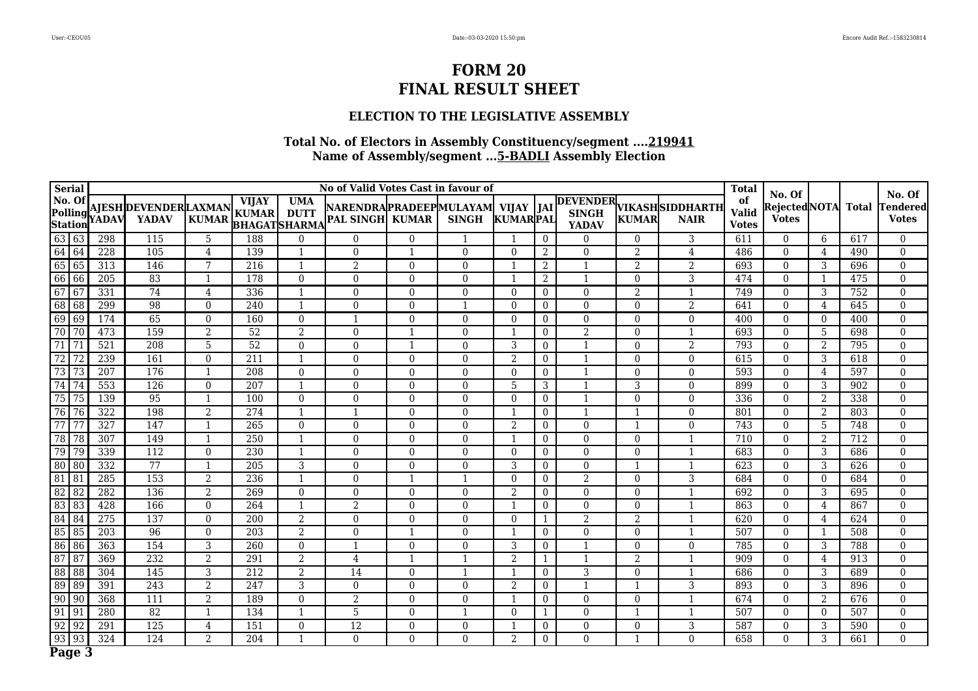#### **ELECTION TO THE LEGISLATIVE ASSEMBLY**

| <b>Serial</b>     |                  |                                          |                                              |                |                              |                                                  | No of Valid Votes Cast in favour of                  |                |                |                 |                  |                              |                |                                         | <b>Total</b>                       | No. Of                              |                |              | No. Of                   |
|-------------------|------------------|------------------------------------------|----------------------------------------------|----------------|------------------------------|--------------------------------------------------|------------------------------------------------------|----------------|----------------|-----------------|------------------|------------------------------|----------------|-----------------------------------------|------------------------------------|-------------------------------------|----------------|--------------|--------------------------|
| No. Of<br>Station |                  | $\left \frac{1}{1}\right $ Polling YADAV | <b>AJESH DEVENDER LAXMAN</b><br><b>YADAV</b> | <b>KUMAR</b>   | <b>VIJAY</b><br><b>KUMAR</b> | <b>UMA</b><br><b>DUTT</b><br><b>BHAGATSHARMA</b> | NARENDRAPRADEEPMULAYAM VIJAY  JAI<br>PAL SINGH KUMAR |                | <b>SINGH</b>   | <b>KUMARPAL</b> |                  | <b>SINGH</b><br><b>YADAV</b> | <b>KUMAR</b>   | DEVENDER VIKASHSIDDHARTH<br><b>NAIR</b> | of<br><b>Valid</b><br><b>Votes</b> | <b>RejectedNOTA</b><br><b>Votes</b> |                | <b>Total</b> | Fendered<br><b>Votes</b> |
| 63 63             |                  | 298                                      | 115                                          | 5              | 188                          | $\Omega$                                         | $\theta$                                             | $\Omega$       | -1             |                 | $\theta$         | $\overline{0}$               | $\Omega$       | 3                                       | 611                                | $\Omega$                            | 6              | 617          | $\overline{0}$           |
| 64 64             |                  | 228                                      | 105                                          | 4              | 139                          | 1                                                | $\overline{0}$                                       | $\mathbf{1}$   | $\overline{0}$ | $\overline{0}$  | 2                | $\mathbf{0}$                 | 2              | $\overline{4}$                          | 486                                | $\overline{0}$                      | $\overline{4}$ | 490          | $\overline{0}$           |
| 65 65             |                  | 313                                      | 146                                          | 7              | 216                          | -1                                               | 2                                                    | $\theta$       | $\Omega$       |                 | 2                | $\mathbf{1}$                 | $\overline{2}$ | $\overline{2}$                          | 693                                | $\Omega$                            | 3              | 696          | $\boldsymbol{0}$         |
| 66 66             |                  | 205                                      | 83                                           | $\mathbf{1}$   | 178                          | $\overline{0}$                                   | $\overline{0}$                                       | $\Omega$       | $\Omega$       | 1               | 2                | 1                            | $\theta$       | $\overline{3}$                          | 474                                | $\overline{0}$                      |                | 475          | $\overline{0}$           |
| 67 67             |                  | 331                                      | $\overline{74}$                              | $\overline{4}$ | 336                          | $\mathbf{1}$                                     | $\overline{0}$                                       | $\Omega$       | $\Omega$       | $\theta$        | $\overline{0}$   | $\mathbf{0}$                 | 2              | $\mathbf{1}$                            | 749                                | $\overline{0}$                      | 3              | 752          | $\overline{0}$           |
| 68 68             |                  | 299                                      | 98                                           | $\overline{0}$ | 240                          | $\mathbf{1}$                                     | $\boldsymbol{0}$                                     | $\Omega$       | -1             | $\theta$        | $\overline{0}$   | $\boldsymbol{0}$             | $\overline{0}$ | $\overline{2}$                          | 641                                | $\overline{0}$                      | $\overline{4}$ | 645          | $\boldsymbol{0}$         |
| $\boxed{69}$ 69   |                  | 174                                      | 65                                           | $\Omega$       | 160                          | $\theta$                                         | 1                                                    | $\theta$       | $\Omega$       | $\theta$        | $\overline{0}$   | $\Omega$                     | $\Omega$       | $\mathbf{0}$                            | 400                                | $\theta$                            | $\theta$       | 400          | $\overline{0}$           |
| 70 70             |                  | 473                                      | 159                                          | $\overline{2}$ | 52                           | $\overline{2}$                                   | $\boldsymbol{0}$                                     | $\mathbf{1}$   | $\overline{0}$ |                 | $\overline{0}$   | $\overline{2}$               | $\overline{0}$ | $\mathbf{1}$                            | 693                                | $\overline{0}$                      | 5              | 698          | $\boldsymbol{0}$         |
| $\overline{71}$   | 71               | 521                                      | 208                                          | 5              | 52                           | $\overline{0}$                                   | $\mathbf{0}$                                         | $\mathbf{1}$   | $\overline{0}$ | 3               | $\overline{0}$   | $\mathbf{1}$                 | $\Omega$       | 2                                       | 793                                | $\overline{0}$                      | $\overline{2}$ | 795          | $\overline{0}$           |
| 72                | $\overline{172}$ | 239                                      | 161                                          | $\theta$       | 211                          | 1                                                | $\mathbf{0}$                                         | $\mathbf{0}$   | $\overline{0}$ | $\overline{2}$  | $\overline{0}$   | $\mathbf{1}$                 | $\theta$       | $\overline{0}$                          | 615                                | $\overline{0}$                      | 3              | 618          | $\boldsymbol{0}$         |
| 73 73             |                  | $\overline{207}$                         | 176                                          | $\mathbf{1}$   | 208                          | $\overline{0}$                                   | $\mathbf{0}$                                         | $\Omega$       | $\Omega$       | $\theta$        | $\boldsymbol{0}$ | $\mathbf{1}$                 | $\Omega$       | $\overline{0}$                          | 593                                | $\theta$                            | $\overline{4}$ | 597          | $\overline{0}$           |
| 74 74             |                  | $\overline{553}$                         | 126                                          | $\Omega$       | 207                          | $\mathbf{1}$                                     | $\mathbf{0}$                                         | $\Omega$       | $\Omega$       | 5               | 3                | $\mathbf{1}$                 | 3              | $\overline{0}$                          | 899                                | $\theta$                            | 3              | 902          | $\overline{0}$           |
| 75 75             |                  | 139                                      | 95                                           | $\mathbf{1}$   | 100                          | $\theta$                                         | $\mathbf{0}$                                         | $\Omega$       | $\Omega$       | $\theta$        | $\overline{0}$   | $\mathbf{1}$                 | $\theta$       | $\overline{0}$                          | 336                                | $\overline{0}$                      | $\overline{2}$ | 338          | $\overline{0}$           |
| 76 76             |                  | 322                                      | 198                                          | $\overline{2}$ | 274                          | $\mathbf{1}$                                     | 1                                                    | $\Omega$       | $\Omega$       | -1              | $\Omega$         | $\mathbf{1}$                 |                | $\Omega$                                | 801                                | $\Omega$                            | $\overline{2}$ | 803          | $\boldsymbol{0}$         |
| $\overline{77}$   | 77               | 327                                      | 147                                          | $\overline{1}$ | 265                          | $\overline{0}$                                   | $\boldsymbol{0}$                                     | $\theta$       | $\overline{0}$ | $\overline{2}$  | $\overline{0}$   | $\boldsymbol{0}$             |                | $\overline{0}$                          | 743                                | $\overline{0}$                      | 5              | 748          | $\boldsymbol{0}$         |
| 78 78             |                  | 307                                      | 149                                          | 1              | 250                          | 1                                                | $\theta$                                             | $\Omega$       | $\Omega$       | $\mathbf{1}$    | $\overline{0}$   | $\theta$                     | $\theta$       |                                         | 710                                | $\Omega$                            | $\overline{2}$ | 712          | $\boldsymbol{0}$         |
| 79 79             |                  | 339                                      | 112                                          | $\Omega$       | 230                          | $\mathbf{1}$                                     | $\theta$                                             | $\theta$       | $\Omega$       | $\theta$        | $\overline{0}$   | $\mathbf{0}$                 | $\Omega$       | 1                                       | 683                                | $\overline{0}$                      | 3              | 686          | $\overline{0}$           |
| 80 80             |                  | 332                                      | 77                                           | $\mathbf{1}$   | $\overline{205}$             | $\overline{3}$                                   | $\overline{0}$                                       | $\Omega$       | $\Omega$       | 3               | $\overline{0}$   | $\Omega$                     | $\mathbf{1}$   | $\mathbf{1}$                            | 623                                | $\theta$                            | 3              | 626          | $\Omega$                 |
| 81 81             |                  | 285                                      | 153                                          | $\overline{2}$ | 236                          | $\mathbf{1}$                                     | $\boldsymbol{0}$                                     | $\overline{1}$ | -1             | $\mathbf{0}$    | $\overline{0}$   | $\overline{2}$               | $\overline{0}$ | $\overline{3}$                          | 684                                | $\overline{0}$                      | $\overline{0}$ | 684          | $\overline{0}$           |
| 82 82             |                  | 282                                      | 136                                          | $\overline{2}$ | 269                          | $\theta$                                         | $\Omega$                                             | $\Omega$       | $\Omega$       | 2               | $\overline{0}$   | $\theta$                     | $\Omega$       | $\mathbf{1}$                            | 692                                | $\theta$                            | 3              | 695          | $\overline{0}$           |
| 83 83             |                  | 428                                      | 166                                          | $\theta$       | 264                          | $\overline{1}$                                   | $\overline{2}$                                       | $\Omega$       | $\overline{0}$ | $\overline{1}$  | $\overline{0}$   | $\boldsymbol{0}$             | $\overline{0}$ | $\mathbf{1}$                            | 863                                | $\overline{0}$                      | $\overline{4}$ | 867          | $\boldsymbol{0}$         |
| 84 84             |                  | 275                                      | 137                                          | $\Omega$       | 200                          | 2                                                | $\mathbf{0}$                                         | $\theta$       | $\Omega$       | $\theta$        | 1                | $\overline{2}$               | $\overline{2}$ | $\mathbf{1}$                            | 620                                | $\theta$                            | $\overline{4}$ | 624          | $\overline{0}$           |
| 85 85             |                  | $\overline{203}$                         | 96                                           | $\Omega$       | 203                          | $\overline{2}$                                   | $\mathbf{0}$                                         |                | $\overline{0}$ | $\mathbf 1$     | $\boldsymbol{0}$ | $\boldsymbol{0}$             | $\overline{0}$ | $\mathbf{1}$                            | 507                                | $\overline{0}$                      |                | 508          | $\boldsymbol{0}$         |
| $86\overline{86}$ |                  | 363                                      | 154                                          | 3              | 260                          | $\overline{0}$                                   | 1                                                    | $\Omega$       | $\Omega$       | 3               | $\overline{0}$   | $\mathbf{1}$                 | $\Omega$       | $\mathbf{0}$                            | 785                                | $\theta$                            | 3              | 788          | $\overline{0}$           |
| 87 87             |                  | 369                                      | 232                                          | $\overline{2}$ | 291                          | $\overline{2}$                                   | $\overline{4}$                                       | -1             | -1             | $\overline{2}$  | $\mathbf{1}$     | $\mathbf{1}$                 | 2              | 1                                       | 909                                | $\theta$                            | $\overline{4}$ | 913          | $\overline{0}$           |
| 88 88             |                  | 304                                      | 145                                          | 3              | 212                          | $\overline{2}$                                   | 14                                                   | $\Omega$       | -1             | $\mathbf{1}$    | $\overline{0}$   | 3                            | $\theta$       | $\overline{1}$                          | 686                                | $\overline{0}$                      | 3              | 689          | $\overline{0}$           |
| 89 89             |                  | 391                                      | 243                                          | 2              | 247                          | 3                                                | $\mathbf{0}$                                         | $\theta$       | $\Omega$       | 2               | $\overline{0}$   | $\mathbf{1}$                 |                | 3                                       | 893                                | $\theta$                            | 3              | 896          | $\overline{0}$           |
| $90 \mid 90$      |                  | 368                                      | 111                                          | $\overline{2}$ | 189                          | $\theta$                                         | $\overline{2}$                                       | $\Omega$       | $\Omega$       | $\mathbf 1$     | $\overline{0}$   | $\theta$                     | $\Omega$       |                                         | 674                                | $\Omega$                            | $\overline{2}$ | 676          | $\boldsymbol{0}$         |
| 91 91             |                  | 280                                      | 82                                           | $\mathbf{1}$   | 134                          | 1                                                | 5                                                    | $\Omega$       | 1              | $\overline{0}$  | 1                | $\mathbf{0}$                 |                | 1                                       | 507                                | $\overline{0}$                      | $\mathbf{0}$   | 507          | $\boldsymbol{0}$         |
| 92                | 92               | 291                                      | 125                                          | 4              | 151                          | $\mathbf{0}$                                     | $\overline{12}$                                      | $\Omega$       | $\Omega$       |                 | $\overline{0}$   | $\overline{0}$               | $\Omega$       | 3                                       | 587                                | $\boldsymbol{0}$                    | 3              | 590          | $\boldsymbol{0}$         |
| 93                | 9 <sub>3</sub>   | 324                                      | 124                                          | $\overline{2}$ | 204                          | $\mathbf{1}$                                     | $\overline{0}$                                       | $\Omega$       | $\Omega$       | $\overline{2}$  | $\overline{0}$   | $\Omega$                     | -1             | $\Omega$                                | 658                                | $\Omega$                            | 3              | 661          | $\Omega$                 |
| Page 3            |                  |                                          |                                              |                |                              |                                                  |                                                      |                |                |                 |                  |                              |                |                                         |                                    |                                     |                |              |                          |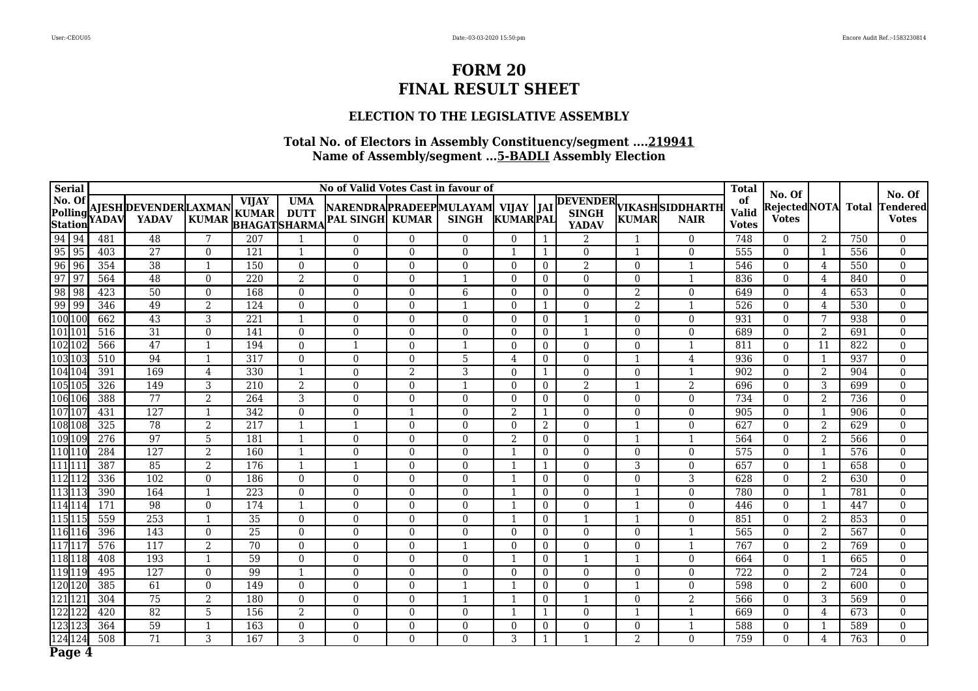### **ELECTION TO THE LEGISLATIVE ASSEMBLY**

| <b>Serial</b>                       |             |       |                                       |                |                                                     |                           | No of Valid Votes Cast in favour of                                |                |              |                |                |                |                |                                         | <b>Total</b>                       | No. Of                       |                |              | No. Of                   |
|-------------------------------------|-------------|-------|---------------------------------------|----------------|-----------------------------------------------------|---------------------------|--------------------------------------------------------------------|----------------|--------------|----------------|----------------|----------------|----------------|-----------------------------------------|------------------------------------|------------------------------|----------------|--------------|--------------------------|
| No. Of<br>Polling<br><b>Station</b> |             | YADAV | AJESH DEVENDER LAXMAN<br><b>YADAV</b> | <b>KUMAR</b>   | <b>VIJAY</b><br><b>KUMAR</b><br><b>BHAGATSHARMA</b> | <b>UMA</b><br><b>DUTT</b> | NARENDRA  PRADEEP  MULAYAM   VIJAY   JAI<br><b>PAL SINGH KUMAR</b> |                | <b>SINGH</b> | KUMARPAL       |                | <b>YADAV</b>   | <b>KUMAR</b>   | DEVENDER VIKASHSIDDHARTH<br><b>NAIR</b> | of<br><b>Valid</b><br><b>Votes</b> | RejectedNOTA<br><b>Votes</b> |                | <b>Total</b> | Tendered<br><b>Votes</b> |
| 94 94                               |             | 481   | 48                                    | 7              | 207                                                 |                           | $\Omega$                                                           | $\Omega$       | $\Omega$     | $\Omega$       |                | $\overline{2}$ |                | $\theta$                                | 748                                | $\Omega$                     | 2              | 750          | $\overline{0}$           |
| $95$ 95                             |             | 403   | $\overline{27}$                       | $\theta$       | 121                                                 | $\mathbf{1}$              | $\theta$                                                           | $\Omega$       | $\theta$     | -1             | 1              | $\mathbf{0}$   | $\mathbf{1}$   | $\mathbf{0}$                            | 555                                | $\mathbf{0}$                 | $\mathbf{1}$   | 556          | $\overline{0}$           |
| $\frac{1}{96}$                      | $\sqrt{96}$ | 354   | 38                                    | $\mathbf{1}$   | 150                                                 | $\Omega$                  | $\Omega$                                                           | $\Omega$       | $\Omega$     | $\theta$       | $\overline{0}$ | $\overline{2}$ | $\Omega$       | $\mathbf{1}$                            | 546                                | $\Omega$                     | 4              | 550          | $\theta$                 |
| $\sqrt{97}$                         | $\sqrt{97}$ | 564   | 48                                    | $\theta$       | 220                                                 | 2                         | $\Omega$                                                           | $\Omega$       | $\mathbf{1}$ | $\Omega$       | $\overline{0}$ | $\Omega$       | $\Omega$       | $\mathbf{1}$                            | 836                                | $\theta$                     | 4              | 840          | $\Omega$                 |
| 98                                  | $\sqrt{98}$ | 423   | 50                                    | $\theta$       | 168                                                 | $\theta$                  | $\overline{0}$                                                     | $\Omega$       | 6            | $\theta$       | $\overline{0}$ | $\Omega$       | 2              | $\overline{0}$                          | 649                                | $\theta$                     | 4              | 653          | $\Omega$                 |
| $\overline{99}$                     | 99          | 346   | 49                                    | 2              | 124                                                 | $\theta$                  | $\Omega$                                                           | $\Omega$       | $\mathbf{1}$ | $\theta$       | $\mathbf{1}$   | $\mathbf{0}$   | $\overline{2}$ | $\overline{\mathbf{1}}$                 | 526                                | $\Omega$                     | 4              | 530          | $\Omega$                 |
| 100 10                              |             | 662   | 43                                    | 3              | 221                                                 | $\mathbf{1}$              | $\boldsymbol{0}$                                                   | $\Omega$       | $\Omega$     | $\theta$       | $\overline{0}$ | $\mathbf{1}$   | $\overline{0}$ | $\overline{0}$                          | 931                                | $\mathbf{0}$                 | 7              | 938          | $\overline{0}$           |
| 101 10                              |             | 516   | 31                                    | $\theta$       | 141                                                 | $\Omega$                  | $\Omega$                                                           | $\Omega$       | $\theta$     | $\theta$       | $\overline{0}$ | $\mathbf{1}$   | $\Omega$       | $\overline{0}$                          | 689                                | $\mathbf{0}$                 | $\overline{2}$ | 691          | $\theta$                 |
| 102 102                             |             | 566   | $\overline{47}$                       | $\mathbf{1}$   | 194                                                 | $\Omega$                  | $\mathbf{1}$                                                       | $\Omega$       | $\mathbf{1}$ | $\theta$       | $\overline{0}$ | $\theta$       | $\Omega$       | $\overline{1}$                          | 811                                | $\Omega$                     | 11             | 822          | $\theta$                 |
| 103 10                              |             | 510   | 94                                    | $\overline{1}$ | 317                                                 | $\theta$                  | $\Omega$                                                           | $\Omega$       | 5            | $\overline{4}$ | $\Omega$       | $\theta$       |                | 4                                       | 936                                | $\theta$                     | $\mathbf{1}$   | 937          | $\theta$                 |
| 104 104                             |             | 391   | 169                                   | $\overline{4}$ | 330                                                 | $\mathbf{1}$              | $\theta$                                                           | $\mathfrak{D}$ | 3            | $\Omega$       |                | $\theta$       | $\theta$       | $\overline{1}$                          | 902                                | $\theta$                     | $\overline{2}$ | 904          | $\theta$                 |
| 105 10                              |             | 326   | 149                                   | 3              | 210                                                 | $\overline{2}$            | $\Omega$                                                           | $\Omega$       | 1            | $\theta$       | $\overline{0}$ | $\overline{2}$ |                | $\overline{2}$                          | 696                                | $\Omega$                     | 3              | 699          | $\Omega$                 |
| 106 106                             |             | 388   | $\overline{77}$                       | $\overline{2}$ | 264                                                 | $\overline{3}$            | $\Omega$                                                           | $\Omega$       | $\Omega$     | $\theta$       | $\overline{0}$ | $\mathbf{0}$   | $\Omega$       | $\Omega$                                | 734                                | $\theta$                     | 2              | 736          | $\Omega$                 |
| 10710                               |             | 431   | 127                                   | $\mathbf{1}$   | 342                                                 | $\overline{0}$            | $\boldsymbol{0}$                                                   | $\overline{1}$ | $\Omega$     | 2              | 1              | $\mathbf{0}$   | $\Omega$       | $\overline{0}$                          | 905                                | $\mathbf{0}$                 | $\mathbf{1}$   | 906          | $\Omega$                 |
| 108 10                              |             | 325   | 78                                    | 2              | 217                                                 | $\mathbf{1}$              | $\mathbf{1}$                                                       | $\Omega$       | $\theta$     | $\theta$       | $\overline{2}$ | $\Omega$       |                | $\theta$                                | 627                                | $\theta$                     | 2              | 629          | $\theta$                 |
| 109 109                             |             | 276   | 97                                    | 5              | 181                                                 | 1                         | $\Omega$                                                           | $\Omega$       | $\theta$     | 2              | $\Omega$       | $\Omega$       |                | $\overline{1}$                          | 564                                | $\theta$                     | 2              | 566          | $\theta$                 |
| 11011                               |             | 284   | 127                                   | 2              | 160                                                 | $\mathbf{1}$              | $\Omega$                                                           | $\Omega$       | $\Omega$     | -1             | $\mathbf{0}$   | $\Omega$       | $\Omega$       | $\Omega$                                | 575                                | $\Omega$                     | 1              | 576          | $\theta$                 |
| $111$ <sub>11</sub>                 |             | 387   | 85                                    | 2              | 176                                                 | $\mathbf{1}$              | -1                                                                 | $\Omega$       | $\Omega$     | -1             |                | $\Omega$       | 3              | $\overline{0}$                          | 657                                | $\mathbf{0}$                 | $\mathbf{1}$   | 658          | $\overline{0}$           |
| 112 11                              |             | 336   | 102                                   | $\theta$       | 186                                                 | $\theta$                  | $\overline{0}$                                                     | $\Omega$       | $\Omega$     | -1             | $\overline{0}$ | $\Omega$       | $\Omega$       | 3                                       | 628                                | $\overline{0}$               | 2              | 630          | $\Omega$                 |
| 113 11                              |             | 390   | 164                                   | $\mathbf{1}$   | 223                                                 | $\theta$                  | $\boldsymbol{0}$                                                   | $\Omega$       | $\Omega$     |                | $\mathbf{0}$   | $\mathbf{0}$   |                | $\overline{0}$                          | 780                                | $\mathbf{0}$                 | $\mathbf{1}$   | 781          | $\overline{0}$           |
| 114 11                              |             | 171   | 98                                    | $\theta$       | 174                                                 | $\mathbf{1}$              | $\Omega$                                                           | $\theta$       | $\Omega$     | $\mathbf 1$    | $\mathbf{0}$   | $\mathbf{0}$   |                | $\overline{0}$                          | 446                                | $\mathbf{0}$                 | 1              | 447          | $\theta$                 |
| 115 11                              |             | 559   | 253                                   | $\mathbf{1}$   | $\overline{35}$                                     | $\Omega$                  | $\Omega$                                                           | $\Omega$       | $\Omega$     | $\overline{1}$ | $\mathbf{0}$   | $\mathbf{1}$   | $\mathbf{1}$   | $\Omega$                                | 851                                | $\Omega$                     | 2              | 853          | $\theta$                 |
| 116 116                             |             | 396   | 143                                   | $\Omega$       | 25                                                  | $\theta$                  | $\Omega$                                                           | $\Omega$       | $\Omega$     | $\Omega$       | $\Omega$       | $\Omega$       | $\Omega$       | $\mathbf{1}$                            | 565                                | $\Omega$                     | 2              | 567          | $\Omega$                 |
| 117 11                              |             | 576   | 117                                   | $\overline{2}$ | 70                                                  | $\theta$                  | $\theta$                                                           | $\Omega$       | $\mathbf{1}$ | $\theta$       | $\overline{0}$ | $\mathbf{0}$   | $\Omega$       | $\mathbf{1}$                            | 767                                | $\Omega$                     | $\overline{2}$ | 769          | $\theta$                 |
| 118 118                             |             | 408   | 193                                   |                | 59                                                  | $\theta$                  | 0                                                                  | $\Omega$       | $\Omega$     |                | $\overline{0}$ | $\mathbf{1}$   |                | $\mathbf{0}$                            | 664                                | $\mathbf{0}$                 | -1             | 665          | $\theta$                 |
| 119 119                             |             | 495   | 127                                   | $\theta$       | 99                                                  | $\mathbf{1}$              | $\Omega$                                                           | 0              | $\Omega$     | $\theta$       | $\overline{0}$ | $\mathbf{0}$   | $\Omega$       | $\theta$                                | 722                                | $\mathbf{0}$                 | $\overline{2}$ | 724          | $\theta$                 |
| 120 120                             |             | 385   | 61                                    | $\theta$       | 149                                                 | $\mathbf{0}$              | $\overline{0}$                                                     | $\Omega$       | $\mathbf{1}$ | $\overline{1}$ | $\overline{0}$ | $\mathbf{0}$   |                | $\overline{0}$                          | 598                                | $\mathbf{0}$                 | 2              | 600          | $\overline{0}$           |
| 12112                               |             | 304   | 75                                    | $\overline{2}$ | 180                                                 | $\Omega$                  | $\overline{0}$                                                     | $\Omega$       | $\mathbf{1}$ | -1             | $\overline{0}$ | $\overline{1}$ | $\theta$       | $\overline{2}$                          | 566                                | $\mathbf{0}$                 | 3              | 569          | $\overline{0}$           |
| 122 12                              |             | 420   | 82                                    | 5              | 156                                                 | 2                         | $\boldsymbol{0}$                                                   | $\Omega$       | $\Omega$     | $\mathbf 1$    | 1              | $\mathbf{0}$   |                | $\overline{1}$                          | 669                                | $\theta$                     | 4              | 673          | $\theta$                 |
| 123 12                              |             | 364   | $\overline{59}$                       | $\overline{1}$ | 163                                                 | $\theta$                  | $\Omega$                                                           | $\Omega$       | $\Omega$     | $\theta$       | $\overline{0}$ | $\Omega$       | $\Omega$       | $\overline{1}$                          | 588                                | $\Omega$                     | -1             | 589          | $\Omega$                 |
| 124 124                             |             | 508   | $\overline{71}$                       | 3              | 167                                                 | 3                         | $\Omega$                                                           | $\Omega$       | $\Omega$     | 3              | 1              | $\mathbf{1}$   | 2              | $\theta$                                | 759                                | $\Omega$                     | 4              | 763          | $\Omega$                 |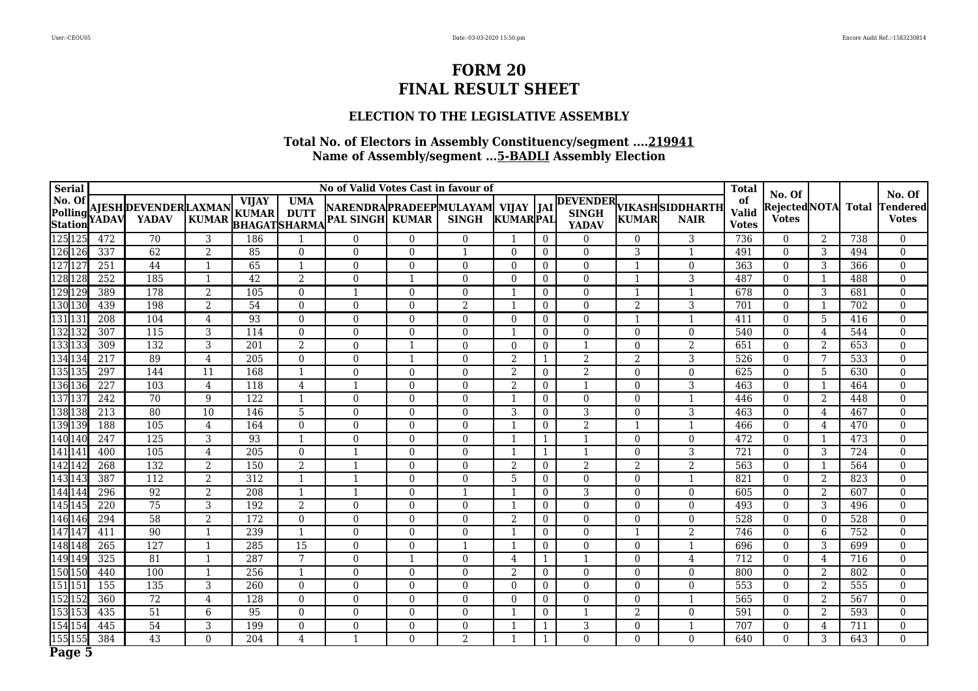#### **ELECTION TO THE LEGISLATIVE ASSEMBLY**

| <b>Serial</b>                                                                                                                         |                  |                                              |                 |                                                     |                           | No of Valid Votes Cast in favour of                    |          |                |                 |                  |                              |                |                                                | <b>Total</b>                       | No. Of                       |                |                  | No. Of                   |
|---------------------------------------------------------------------------------------------------------------------------------------|------------------|----------------------------------------------|-----------------|-----------------------------------------------------|---------------------------|--------------------------------------------------------|----------|----------------|-----------------|------------------|------------------------------|----------------|------------------------------------------------|------------------------------------|------------------------------|----------------|------------------|--------------------------|
| No. Of<br>Polling<br>Station                                                                                                          | <b>YADAV</b>     | <b>AJESH DEVENDER LAXMAN</b><br><b>YADAV</b> | <b>KUMAR</b>    | <b>VIJAY</b><br><b>KUMAR</b><br><b>BHAGATSHARMA</b> | <b>UMA</b><br><b>DUTT</b> | NARENDRAPRADEEPMULAYAM VIJAY<br><b>PAL SINGH KUMAR</b> |          | <b>SINGH</b>   | <b>KUMARPAL</b> | <b>JAI</b>       | <b>SINGH</b><br><b>YADAV</b> | <b>KUMAR</b>   | <b>DEVENDER VIKASHSIDDHARTH</b><br><b>NAIR</b> | of<br><b>Valid</b><br><b>Votes</b> | RejectedNOTA<br><b>Votes</b> |                | Total            | Tendered<br><b>Votes</b> |
| 125 125                                                                                                                               | 472              | 70                                           | 3               | 186                                                 | -1                        | 0                                                      | $\Omega$ | $\Omega$       | 1               | $\mathbf{0}$     | $\Omega$                     | 0              | 3                                              | 736                                | $\Omega$                     | 2              | 738              | 0                        |
|                                                                                                                                       | 337              | 62                                           | $\overline{2}$  | 85                                                  | $\mathbf{0}$              | $\overline{0}$                                         | $\Omega$ | 1              | $\overline{0}$  | $\overline{0}$   | $\boldsymbol{0}$             | 3              | $\overline{1}$                                 | 491                                | $\overline{0}$               | 3              | 494              | $\boldsymbol{0}$         |
|                                                                                                                                       | 251              | 44                                           | $\mathbf{1}$    | 65                                                  | 1                         | $\Omega$                                               | $\Omega$ | $\Omega$       | $\theta$        | $\mathbf{0}$     | $\Omega$                     |                | $\boldsymbol{0}$                               | 363                                | $\Omega$                     | 3              | 366              | $\theta$                 |
|                                                                                                                                       | 252              | 185                                          | $\mathbf{1}$    | $\overline{42}$                                     | 2                         | 0                                                      |          | $\Omega$       | $\theta$        | $\overline{0}$   | $\mathbf{0}$                 |                | $\overline{3}$                                 | 487                                | $\overline{0}$               |                | 488              | $\overline{0}$           |
|                                                                                                                                       | 389              | 178                                          | 2               | 105                                                 | $\mathbf{0}$              |                                                        | $\Omega$ | $\Omega$       | 1               | $\overline{0}$   | $\mathbf{0}$                 |                | $\mathbf{1}$                                   | 678                                | $\overline{0}$               | 3              | 681              | $\theta$                 |
|                                                                                                                                       | 439              | 198                                          | $\overline{2}$  | 54                                                  | $\mathbf{0}$              | $\overline{0}$                                         | $\Omega$ | $\overline{2}$ | $\mathbf{1}$    | $\overline{0}$   | $\mathbf{0}$                 | $\overline{2}$ | 3                                              | 701                                | $\overline{0}$               | $\mathbf{1}$   | 702              | $\overline{0}$           |
|                                                                                                                                       | 208              | 104                                          | $\overline{4}$  | 93                                                  | $\Omega$                  | $\Omega$                                               | $\Omega$ | $\Omega$       | $\theta$        | $\Omega$         | $\theta$                     |                | $\mathbf{1}$                                   | 411                                | $\theta$                     | 5              | 416              | $\theta$                 |
| 125 125<br>126 126<br>127 127<br>128 128<br>129 129<br>130 130<br>131 131                                                             | 307              | $\overline{115}$                             | 3               | 114                                                 | $\mathbf{0}$              | $\theta$                                               | $\Omega$ | $\Omega$       | $\mathbf{1}$    | $\overline{0}$   | $\mathbf{0}$                 | $\Omega$       | $\boldsymbol{0}$                               | 540                                | $\Omega$                     | 4              | 544              | $\theta$                 |
| $\frac{133}{133}$ $\frac{133}{134}$                                                                                                   | 309              | 132                                          | 3               | 201                                                 | $\overline{2}$            | $\Omega$                                               |          | $\Omega$       | $\theta$        | $\mathbf{0}$     | $\mathbf 1$                  | $\Omega$       | $\overline{2}$                                 | 651                                | $\Omega$                     | 2              | 653              | $\theta$                 |
|                                                                                                                                       | 217              | 89                                           | $\overline{4}$  | $\overline{205}$                                    | $\mathbf{0}$              | $\Omega$                                               |          | $\Omega$       | $\overline{2}$  |                  | $\overline{2}$               | 2              | $\overline{3}$                                 | 526                                | $\overline{0}$               | 7              | 533              | $\overline{0}$           |
|                                                                                                                                       | 297              | 144                                          | 11              | 168                                                 | $\mathbf{1}$              | $\overline{0}$                                         | $\Omega$ | $\overline{0}$ | 2               | $\overline{0}$   | $\overline{2}$               | $\overline{0}$ | $\overline{0}$                                 | 625                                | $\overline{0}$               | 5              | 630              | $\overline{0}$           |
|                                                                                                                                       | $\overline{227}$ | 103                                          | $\overline{4}$  | 118                                                 | $\overline{4}$            |                                                        | $\Omega$ | $\Omega$       | $\overline{2}$  | $\mathbf{0}$     | $\mathbf{1}$                 | $\Omega$       | 3                                              | 463                                | $\Omega$                     |                | 464              | $\theta$                 |
| 135<br>135<br>136<br>136<br>137<br>137                                                                                                | 242              | 70                                           | 9               | 122                                                 | 1                         | 0                                                      | $\Omega$ | $\Omega$       | 1               | $\overline{0}$   | $\mathbf{0}$                 | $\Omega$       | $\overline{\phantom{a}}$                       | 446                                | $\overline{0}$               | 2              | 448              | $\theta$                 |
| 138 138                                                                                                                               | $\overline{213}$ | 80                                           | $\overline{10}$ | 146                                                 | $\overline{5}$            | $\Omega$                                               | $\Omega$ | $\Omega$       | 3               | $\boldsymbol{0}$ | $\overline{3}$               | $\Omega$       | 3                                              | 463                                | $\overline{0}$               | 4              | 467              | $\Omega$                 |
| 139 139                                                                                                                               | 188              | 105                                          | $\overline{4}$  | 164                                                 | $\mathbf{0}$              | 0                                                      | $\Omega$ | $\Omega$       | 1               | $\overline{0}$   | $\overline{2}$               |                | $\overline{\mathbf{1}}$                        | 466                                | $\overline{0}$               | 4              | 470              | $\overline{0}$           |
| 140 140                                                                                                                               | 247              | 125                                          | 3               | 93                                                  | $\mathbf{1}$              | $\Omega$                                               | $\Omega$ | $\Omega$       | 1               |                  | $\mathbf{1}$                 | $\Omega$       | $\theta$                                       | 472                                | $\Omega$                     | $\mathbf{1}$   | 473              | $\theta$                 |
| 141 14                                                                                                                                | 400              | 105                                          | $\overline{4}$  | 205                                                 | $\overline{0}$            |                                                        | $\Omega$ | $\Omega$       | 1               | $\mathbf{1}$     | $\mathbf{1}$                 | $\Omega$       | 3                                              | 721                                | $\Omega$                     | 3              | 724              | $\theta$                 |
| $\begin{array}{r} 1 \overline{41} \\ 142 \\ 142 \\ 143 \\ 143 \\ 144 \\ \hline 144 \\ 144 \\ 145 \\ 145 \\ 146 \\ \hline \end{array}$ | 268              | 132                                          | $\overline{2}$  | 150                                                 | 2                         |                                                        | $\Omega$ | $\Omega$       | $\overline{2}$  | $\boldsymbol{0}$ | 2                            | 2              | $\overline{2}$                                 | 563                                | $\overline{0}$               | -1             | 564              | $\overline{0}$           |
|                                                                                                                                       | 387              | 112                                          | $\overline{2}$  | 312                                                 | $\mathbf{1}$              |                                                        | $\Omega$ | $\Omega$       | 5               | $\overline{0}$   | $\mathbf{0}$                 | $\overline{0}$ | 1                                              | 821                                | $\overline{0}$               | 2              | 823              | $\overline{0}$           |
|                                                                                                                                       | 296              | 92                                           | 2               | 208                                                 | $\mathbf{1}$              |                                                        | $\Omega$ | $\mathbf{1}$   | $\mathbf{1}$    | $\overline{0}$   | 3                            | $\overline{0}$ | $\overline{0}$                                 | 605                                | $\overline{0}$               | 2              | 607              | $\overline{0}$           |
|                                                                                                                                       | $\overline{220}$ | $\overline{75}$                              | 3               | 192                                                 | $\overline{2}$            | $\Omega$                                               | $\Omega$ | $\Omega$       | $\mathbf{1}$    | $\overline{0}$   | $\Omega$                     | $\Omega$       | $\overline{0}$                                 | 493                                | $\theta$                     | 3              | 496              | $\theta$                 |
|                                                                                                                                       | 294              | $\overline{58}$                              | $\overline{2}$  | 172                                                 | $\overline{0}$            | 0                                                      | $\Omega$ | $\Omega$       | $\overline{2}$  | $\overline{0}$   | $\Omega$                     | $\Omega$       | $\overline{0}$                                 | 528                                | $\theta$                     | $\theta$       | 528              | $\theta$                 |
| 147 14                                                                                                                                | 411              | 90                                           | $\mathbf{1}$    | 239                                                 | $\mathbf{1}$              | $\overline{0}$                                         | $\Omega$ | $\Omega$       | $\mathbf{1}$    | $\overline{0}$   | $\mathbf{0}$                 |                | $\overline{2}$                                 | 746                                | $\theta$                     | 6              | 752              | $\Omega$                 |
| 148<br>148<br>149<br>149                                                                                                              | 265              | 127                                          | $\mathbf{1}$    | 285                                                 | $\overline{15}$           | 0                                                      | $\Omega$ | $\mathbf{1}$   | $\mathbf{1}$    | $\mathbf{0}$     | $\mathbf{0}$                 | $\Omega$       | $\overline{1}$                                 | 696                                | $\overline{0}$               | 3              | 699              | $\overline{0}$           |
|                                                                                                                                       | 325              | 81                                           | $\mathbf{1}$    | 287                                                 | 7                         | $\theta$                                               |          | $\Omega$       | $\overline{4}$  |                  | $\overline{1}$               | $\Omega$       | $\overline{4}$                                 | 712                                | $\boldsymbol{0}$             | 4              | 716              | $\theta$                 |
| 150 150                                                                                                                               | 440              | 100                                          | $\mathbf{1}$    | 256                                                 | 1                         | $\Omega$                                               | $\Omega$ | $\Omega$       | $\overline{2}$  | $\theta$         | $\Omega$                     | $\Omega$       | $\theta$                                       | 800                                | $\Omega$                     | $\overline{2}$ | 802              | $\theta$                 |
|                                                                                                                                       | 155              | 135                                          | $\mathfrak{Z}$  | 260                                                 | $\Omega$                  | $\theta$                                               | $\Omega$ | $\Omega$       | $\Omega$        | $\overline{0}$   | $\theta$                     | $\Omega$       | $\overline{0}$                                 | 553                                | $\overline{0}$               | 2              | 555              | $\boldsymbol{0}$         |
|                                                                                                                                       | 360              | 72                                           | $\overline{4}$  | 128                                                 | $\Omega$                  | 0                                                      | $\Omega$ | $\Omega$       | $\theta$        | $\overline{0}$   | $\theta$                     | $\Omega$       | $\mathbf{1}$                                   | 565                                | $\overline{0}$               | 2              | 567              | $\overline{0}$           |
|                                                                                                                                       | 435              | 51                                           | 6               | 95                                                  | $\mathbf{0}$              | $\overline{0}$                                         | $\Omega$ | $\Omega$       | $\mathbf{1}$    | $\overline{0}$   | $\overline{1}$               | $\overline{2}$ | $\overline{0}$                                 | 591                                | $\overline{0}$               | $\overline{2}$ | 593              | $\theta$                 |
| 150 150<br>151 151<br>152 152<br>153 153<br>154 154                                                                                   | 445              | $\overline{54}$                              | 3               | 199                                                 | $\mathbf{0}$              | $\Omega$                                               | $\Omega$ | $\Omega$       | $\mathbf{1}$    |                  | $\overline{3}$               | $\Omega$       | $\mathbf{1}$                                   | 707                                | $\Omega$                     | 4              | $\overline{711}$ | $\theta$                 |
| 155 155                                                                                                                               | 384              | 43                                           | $\Omega$        | 204                                                 | $\overline{4}$            |                                                        | $\Omega$ | 2              | $\mathbf{1}$    |                  | $\theta$                     | $\Omega$       | $\theta$                                       | 640                                | $\Omega$                     | 3              | 643              | $\Omega$                 |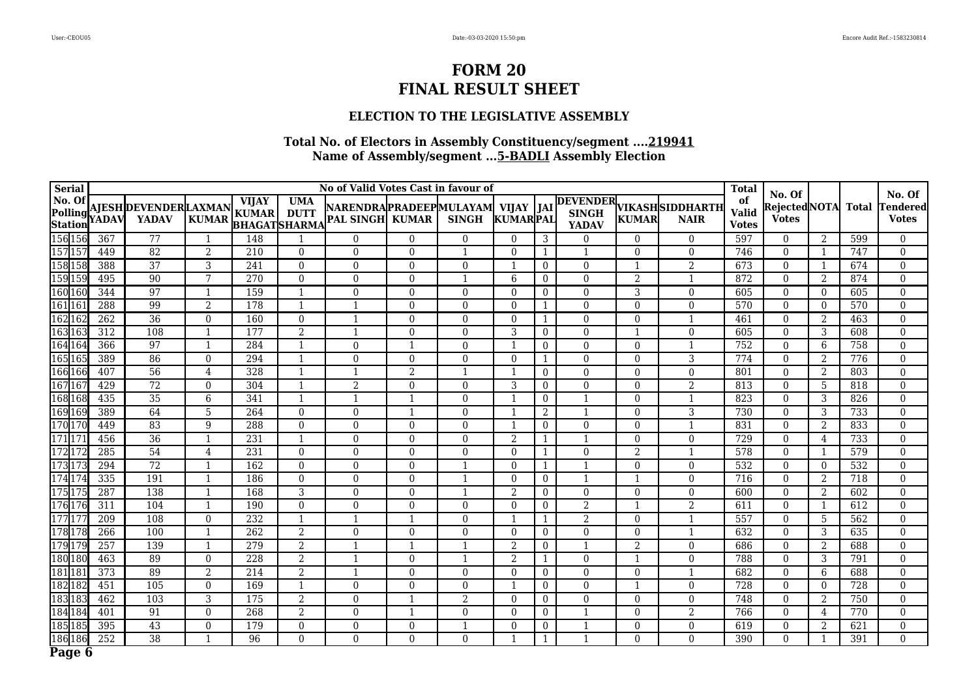### **ELECTION TO THE LEGISLATIVE ASSEMBLY**

| <b>Serial</b>       |                  |                                              |                |                              |                                                  | No of Valid Votes Cast in favour of                          |                |                |                         |                  |                  |                |                                         | <b>Total</b>                       | No. Of                               |                          |              | No. Of                          |
|---------------------|------------------|----------------------------------------------|----------------|------------------------------|--------------------------------------------------|--------------------------------------------------------------|----------------|----------------|-------------------------|------------------|------------------|----------------|-----------------------------------------|------------------------------------|--------------------------------------|--------------------------|--------------|---------------------------------|
| No. Of<br>Station   | Polling YADAV    | <b>AJESH DEVENDER LAXMAN</b><br><b>YADAV</b> | <b>KUMAR</b>   | <b>VIJAY</b><br><b>KUMAR</b> | <b>UMA</b><br><b>DUTT</b><br><b>BHAGATSHARMA</b> | NARENDRAPRADEEPMULAYAM  VIJAY  JAI<br><b>PAL SINGH KUMAR</b> |                | <b>SINGH</b>   | KUMARPAL                |                  | <b>YADAV</b>     | <b>KUMAR</b>   | DEVENDER VIKASHSIDDHARTH<br><b>NAIR</b> | of<br><b>Valid</b><br><b>Votes</b> | <b>Rejected</b> NOTA<br><b>Votes</b> |                          | <b>Total</b> | <b>Tendered</b><br><b>Votes</b> |
| 156 156             | 367              | 77                                           | $\mathbf 1$    | 148                          |                                                  | $\Omega$                                                     | $\Omega$       | $\Omega$       | $\Omega$                | 3                | $\Omega$         | 0              | $\Omega$                                | 597                                | $\Omega$                             | 2                        | 599          | $\overline{0}$                  |
| 157 15              | 449              | 82                                           | $\overline{2}$ | 210                          | $\overline{0}$                                   | $\overline{0}$                                               | $\overline{0}$ | $\mathbf{1}$   | $\theta$                | 1                | $\mathbf{1}$     | 0              | $\mathbf{0}$                            | 746                                | $\overline{0}$                       | $\overline{\phantom{a}}$ | 747          | $\boldsymbol{0}$                |
| 158 158             | 388              | $\overline{37}$                              | 3              | 241                          | $\theta$                                         | $\Omega$                                                     | $\Omega$       | $\Omega$       | $\overline{\mathbf{1}}$ | $\overline{0}$   | $\theta$         |                | $\overline{2}$                          | 673                                | $\Omega$                             | $\overline{\phantom{a}}$ | 674          | $\overline{0}$                  |
| 159 159             | 495              | 90                                           | 7              | 270                          | $\overline{0}$                                   | $\overline{0}$                                               | $\Omega$       | 1              | 6                       | $\overline{0}$   | $\mathbf{0}$     | $\overline{2}$ | $\mathbf{1}$                            | 872                                | $\overline{0}$                       | 2                        | 874          | $\overline{0}$                  |
| 160 160             | 344              | 97                                           | $\mathbf{1}$   | 159                          | $\mathbf{1}$                                     | $\overline{0}$                                               | $\Omega$       | $\theta$       | $\theta$                | $\overline{0}$   | $\mathbf{0}$     | 3              | $\mathbf{0}$                            | 605                                | $\theta$                             | $\Omega$                 | 605          | $\overline{0}$                  |
| 161 16              | 288              | 99                                           | $\overline{2}$ | 178                          | $\mathbf{1}$                                     |                                                              | $\Omega$       | $\overline{0}$ | $\mathbf{0}$            | 1                | $\boldsymbol{0}$ | 0              | $\boldsymbol{0}$                        | 570                                | $\overline{0}$                       | $\overline{0}$           | 570          | $\boldsymbol{0}$                |
| 162 16              | 262              | 36                                           | $\theta$       | 160                          | $\theta$                                         | $\mathbf{1}$                                                 | $\Omega$       | $\Omega$       | $\theta$                | $\mathbf{1}$     | $\Omega$         | $\overline{0}$ | $\mathbf{1}$                            | 461                                | $\theta$                             | 2                        | 463          | $\overline{0}$                  |
| 163 163             | 312              | 108                                          | $\mathbf{1}$   | 177                          | $\overline{2}$                                   |                                                              | $\overline{0}$ | $\theta$       | 3                       | $\overline{0}$   | $\overline{0}$   |                | $\boldsymbol{0}$                        | 605                                | $\overline{0}$                       | 3                        | 608          | $\boldsymbol{0}$                |
| 164 164             | 366              | 97                                           | $\mathbf{1}$   | 284                          | $\mathbf{1}$                                     | $\mathbf{0}$                                                 |                | $\theta$       | $\mathbf{1}$            | $\overline{0}$   | $\mathbf{0}$     | $\overline{0}$ | $\mathbf{1}$                            | 752                                | $\overline{0}$                       | 6                        | 758          | $\overline{0}$                  |
| 165 165             | 389              | 86                                           | $\theta$       | 294                          | -1                                               | $\overline{0}$                                               | $\overline{0}$ | $\overline{0}$ | $\overline{0}$          | 1                | $\mathbf{0}$     | $\overline{0}$ | $\overline{3}$                          | 774                                | $\overline{0}$                       | 2                        | 776          | $\overline{0}$                  |
| 166 166             | 407              | $\overline{56}$                              | $\overline{4}$ | 328                          | $\mathbf{1}$                                     | 1                                                            | 2              | $\mathbf{1}$   | $\mathbf{1}$            | $\bf{0}$         | $\mathbf{0}$     | $\overline{0}$ | $\overline{0}$                          | 801                                | $\overline{0}$                       | 2                        | 803          | $\overline{0}$                  |
| 167 16              | 429              | $\overline{72}$                              | $\Omega$       | 304                          | 1                                                | $\overline{2}$                                               | $\theta$       | $\theta$       | 3                       | $\overline{0}$   | $\mathbf{0}$     | $\Omega$       | $\overline{2}$                          | 813                                | $\theta$                             | 5                        | 818          | $\overline{0}$                  |
| 168 168             | 435              | $\overline{35}$                              | 6              | 341                          | 1                                                | 1                                                            |                | $\theta$       | $\overline{1}$          | $\overline{0}$   | $\mathbf{1}$     | $\Omega$       | $\mathbf{1}$                            | 823                                | $\Omega$                             | 3                        | 826          | $\overline{0}$                  |
| 169 169             | 389              | 64                                           | 5              | 264                          | $\theta$                                         | $\overline{0}$                                               |                | $\Omega$       | -1                      | 2                | -1               | 0              | 3                                       | 730                                | $\Omega$                             | 3                        | 733          | $\theta$                        |
| 170 170             | 449              | 83                                           | 9              | 288                          | $\overline{0}$                                   | $\boldsymbol{0}$                                             | $\Omega$       | $\theta$       | $\overline{1}$          | $\overline{0}$   | $\boldsymbol{0}$ | 0              | $\mathbf{1}$                            | 831                                | $\boldsymbol{0}$                     | $\overline{2}$           | 833          | $\boldsymbol{0}$                |
| $171$ <sub>17</sub> | 456              | 36                                           | $\mathbf{1}$   | 231                          | $\mathbf{1}$                                     | $\overline{0}$                                               | $\theta$       | $\Omega$       | $\overline{2}$          | 1                |                  | 0              | $\mathbf{0}$                            | 729                                | $\Omega$                             | 4                        | 733          | $\overline{0}$                  |
| 172 17              | 285              | 54                                           | 4              | 231                          | $\overline{0}$                                   | $\overline{0}$                                               | $\Omega$       | $\Omega$       | $\theta$                | 1                | $\theta$         | 2              | $\mathbf{1}$                            | 578                                | $\overline{0}$                       | -1                       | 579          | $\overline{0}$                  |
| 173 173             | 294              | $\overline{72}$                              | $\mathbf{1}$   | 162                          | $\theta$                                         | $\theta$                                                     | $\Omega$       | $\mathbf{1}$   | $\Omega$                | 1                | $\mathbf 1$      | $\Omega$       | $\boldsymbol{0}$                        | 532                                | $\theta$                             | $\Omega$                 | 532          | $\theta$                        |
| 174 174             | 335              | 191                                          | $\mathbf{1}$   | 186                          | $\overline{0}$                                   | $\boldsymbol{0}$                                             | $\Omega$       | $\mathbf{1}$   | $\Omega$                | $\overline{0}$   | $\mathbf 1$      | $\mathbf{1}$   | $\boldsymbol{0}$                        | 716                                | $\boldsymbol{0}$                     | $\overline{2}$           | 718          | $\boldsymbol{0}$                |
| 175 175             | 287              | 138                                          | $\mathbf{1}$   | 168                          | 3                                                | $\theta$                                                     | $\Omega$       | $\mathbf{1}$   | 2                       | $\theta$         | $\Omega$         | $\Omega$       | $\Omega$                                | 600                                | $\theta$                             | $\overline{2}$           | 602          | $\theta$                        |
| 176 176             | 311              | 104                                          | $\overline{1}$ | 190                          | $\overline{0}$                                   | $\boldsymbol{0}$                                             | $\Omega$       | $\theta$       | $\Omega$                | $\boldsymbol{0}$ | $\overline{2}$   |                | $\overline{2}$                          | 611                                | $\boldsymbol{0}$                     | $\overline{1}$           | 612          | $\boldsymbol{0}$                |
| $177$ 17            | 209              | 108                                          | $\theta$       | 232                          | 1                                                |                                                              |                | $\theta$       | $\overline{1}$          | 1                | $\overline{2}$   | $\overline{0}$ | $\overline{1}$                          | 557                                | $\overline{0}$                       | 5                        | 562          | $\theta$                        |
| 178 178             | 266              | 100                                          | $\mathbf{1}$   | 262                          | $\overline{2}$                                   | $\boldsymbol{0}$                                             | $\overline{0}$ | $\theta$       | $\mathbf{0}$            | $\bf{0}$         | $\boldsymbol{0}$ | $\overline{0}$ | $\mathbf{1}$                            | 632                                | $\overline{0}$                       | 3                        | 635          | $\overline{0}$                  |
| 179 179             | $\overline{257}$ | 139                                          | -1             | 279                          | $\overline{2}$                                   | 1                                                            |                | $\mathbf{1}$   | 2                       | $\bf{0}$         | -1               | 2              | $\overline{0}$                          | 686                                | $\theta$                             | $\overline{2}$           | 688          | $\theta$                        |
| 180 180             | 463              | 89                                           | $\Omega$       | 228                          | $\overline{2}$                                   | 1                                                            | $\Omega$       | 1              | $\overline{2}$          | $\mathbf{1}$     | $\mathbf{0}$     | $\mathbf{1}$   | $\overline{0}$                          | 788                                | $\boldsymbol{0}$                     | 3                        | 791          | $\overline{0}$                  |
| 181 181             | 373              | 89                                           | $\overline{2}$ | 214                          | 2                                                | 1                                                            | $\Omega$       | $\Omega$       | $\theta$                | $\overline{0}$   | $\Omega$         | $\Omega$       | $\mathbf{1}$                            | 682                                | $\Omega$                             | 6                        | 688          | $\overline{0}$                  |
| 182182              | 451              | 105                                          | $\theta$       | 169                          | 1                                                | $\overline{0}$                                               | $\Omega$       | $\Omega$       | $\overline{1}$          | $\overline{0}$   | $\overline{0}$   |                | $\mathbf{0}$                            | 728                                | $\Omega$                             | $\theta$                 | 728          | $\overline{0}$                  |
| 183 183             | 462              | 103                                          | 3              | 175                          | 2                                                | $\overline{0}$                                               |                | 2              | $\Omega$                | $\overline{0}$   | $\theta$         | 0              | $\boldsymbol{0}$                        | 748                                | $\Omega$                             | $\overline{2}$           | 750          | $\Omega$                        |
| 184 184             | 401              | 91                                           | $\Omega$       | 268                          | $\overline{2}$                                   | $\boldsymbol{0}$                                             |                | $\mathbf{0}$   | $\theta$                | $\overline{0}$   | $\mathbf{1}$     | 0              | $\overline{2}$                          | 766                                | $\overline{0}$                       | 4                        | 770          | $\overline{0}$                  |
| 185 185             | 395              | 43                                           | $\theta$       | 179                          | $\overline{0}$                                   | $\overline{0}$                                               | $\theta$       | $\mathbf{1}$   | $\Omega$                | $\overline{0}$   |                  | 0              | $\mathbf{0}$                            | 619                                | $\overline{0}$                       | 2                        | 621          | $\overline{0}$                  |
| 186 18              | 252              | $\overline{38}$                              | $\mathbf{1}$   | 96                           | $\overline{0}$                                   | $\overline{0}$                                               | $\Omega$       | $\Omega$       |                         | $\mathbf{1}$     | $\mathbf 1$      | $\overline{0}$ | $\theta$                                | 390                                | $\overline{0}$                       | -1                       | 391          | $\theta$                        |
| Page 6              |                  |                                              |                |                              |                                                  |                                                              |                |                |                         |                  |                  |                |                                         |                                    |                                      |                          |              |                                 |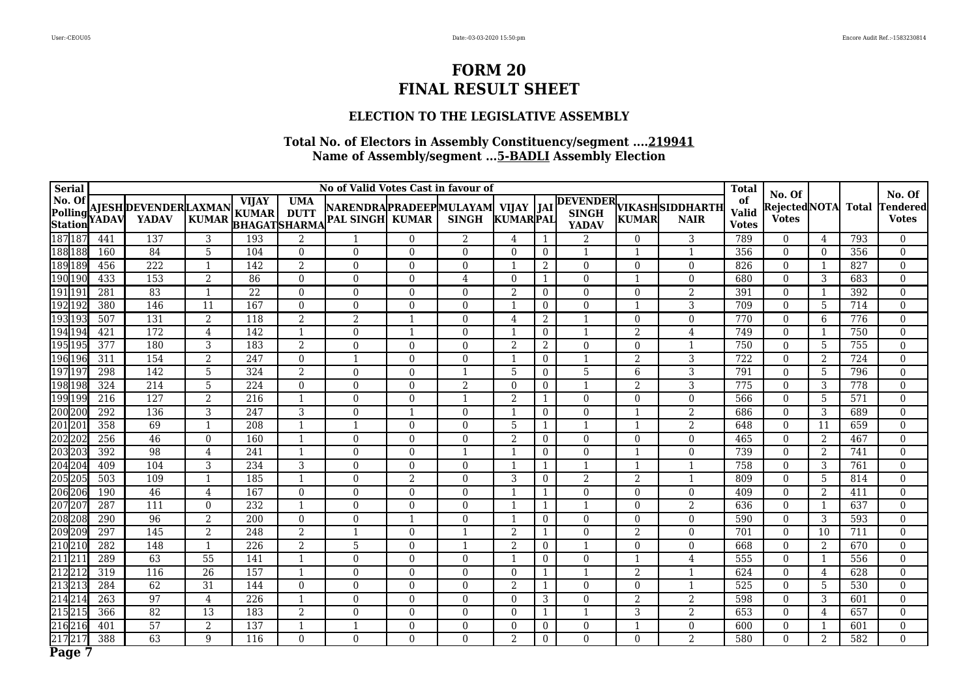#### **ELECTION TO THE LEGISLATIVE ASSEMBLY**

| <b>Serial</b>                      |                  |                                              |                 |                              |                                                  | No of Valid Votes Cast in favour of                          |                |                |                         |                |                  |                |                                         | <b>Total</b>                       | No. Of                               |                         |                  | No. Of                          |
|------------------------------------|------------------|----------------------------------------------|-----------------|------------------------------|--------------------------------------------------|--------------------------------------------------------------|----------------|----------------|-------------------------|----------------|------------------|----------------|-----------------------------------------|------------------------------------|--------------------------------------|-------------------------|------------------|---------------------------------|
| No. Of<br>Polling YADAV<br>Station |                  | <b>AJESH DEVENDER LAXMAN</b><br><b>YADAV</b> | <b>KUMAR</b>    | <b>VIJAY</b><br><b>KUMAR</b> | <b>UMA</b><br><b>DUTT</b><br><b>BHAGATSHARMA</b> | NARENDRAPRADEEPMULAYAM  VIJAY  JAI<br><b>PAL SINGH KUMAR</b> |                | <b>SINGH</b>   | <b>KUMARPAL</b>         |                | <b>YADAV</b>     | <b>KUMAR</b>   | DEVENDER VIKASHSIDDHARTH<br><b>NAIR</b> | of<br><b>Valid</b><br><b>Votes</b> | <b>Rejected</b> NOTA<br><b>Votes</b> |                         | <b>Total</b>     | <b>Fendered</b><br><b>Votes</b> |
| 18718                              | 441              | 137                                          | 3               | 193                          | $\overline{2}$                                   |                                                              | $\Omega$       | 2              | 4                       |                | $\overline{2}$   | 0              | 3                                       | 789                                | $\Omega$                             | 4                       | 793              | $\overline{0}$                  |
| 188 188                            | 160              | 84                                           | 5               | 104                          | $\overline{0}$                                   | $\overline{0}$                                               | $\overline{0}$ | $\mathbf{0}$   | $\theta$                | $\overline{0}$ | $\mathbf 1$      | 1              | $\mathbf{1}$                            | 356                                | $\overline{0}$                       | $\Omega$                | 356              | $\boldsymbol{0}$                |
| 189 189                            | 456              | 222                                          |                 | 142                          | 2                                                | $\Omega$                                                     | $\Omega$       | $\Omega$       | $\overline{\mathbf{1}}$ | 2              | $\theta$         | 0              | $\Omega$                                | 826                                | $\Omega$                             |                         | 827              | $\Omega$                        |
| 190 190                            | 433              | 153                                          | $\overline{2}$  | 86                           | $\overline{0}$                                   | $\overline{0}$                                               | $\Omega$       | $\overline{4}$ | $\theta$                | 1              | $\theta$         |                | $\mathbf{0}$                            | 680                                | $\overline{0}$                       | 3                       | 683              | $\overline{0}$                  |
| 191 191                            | 281              | 83                                           | $\mathbf{1}$    | 22                           | $\overline{0}$                                   | $\overline{0}$                                               | $\Omega$       | $\Omega$       | 2                       | $\overline{0}$ | $\mathbf{0}$     | $\overline{0}$ | $\overline{2}$                          | 391                                | $\theta$                             | $\overline{\mathbf{1}}$ | 392              | $\overline{0}$                  |
| 192 192                            | 380              | 146                                          | 11              | 167                          | $\overline{0}$                                   | $\overline{0}$                                               | $\theta$       | $\overline{0}$ |                         | $\overline{0}$ | $\boldsymbol{0}$ |                | 3                                       | 709                                | $\overline{0}$                       | 5                       | 714              | $\boldsymbol{0}$                |
| 193193                             | 507              | 131                                          | 2               | 118                          | 2                                                | 2                                                            | $\overline{1}$ | $\Omega$       | 4                       | 2              | $\mathbf{1}$     | $\overline{0}$ | $\mathbf{0}$                            | 770                                | $\theta$                             | 6                       | 776              | $\overline{0}$                  |
| 194 194                            | 421              | 172                                          | $\overline{4}$  | 142                          | $\mathbf{1}$                                     | $\boldsymbol{0}$                                             |                | $\theta$       |                         | $\overline{0}$ | $\mathbf{1}$     | $\overline{2}$ | $\overline{4}$                          | 749                                | $\overline{0}$                       |                         | 750              | $\boldsymbol{0}$                |
| 195195                             | 377              | 180                                          | 3               | 183                          | 2                                                | $\overline{0}$                                               | $\Omega$       | $\theta$       | $\overline{2}$          | 2              | $\mathbf{0}$     | $\overline{0}$ | $\mathbf{1}$                            | 750                                | $\mathbf{0}$                         | 5                       | 755              | $\mathbf{0}$                    |
| 196 196                            | 311              | 154                                          | $\overline{2}$  | 247                          | $\overline{0}$                                   | -1                                                           | $\overline{0}$ | $\overline{0}$ | $\overline{1}$          | $\overline{0}$ | $\mathbf{1}$     | $\overline{2}$ | $\overline{3}$                          | 722                                | $\mathbf{0}$                         | 2                       | 724              | $\mathbf{0}$                    |
| 197 197                            | 298              | 142                                          | 5               | 324                          | 2                                                | $\boldsymbol{0}$                                             | $\Omega$       | $\mathbf{1}$   | 5                       | $\bf{0}$       | $\overline{5}$   | 6              | $\sqrt{3}$                              | 791                                | $\mathbf{0}$                         | 5                       | 796              | $\mathbf{0}$                    |
| 198 198                            | 324              | 214                                          | 5               | 224                          | $\theta$                                         | $\mathbf{0}$                                                 | $\Omega$       | 2              | $\theta$                | $\overline{0}$ | $\mathbf 1$      | $\overline{2}$ | 3                                       | 775                                | $\theta$                             | 3                       | 778              | $\overline{0}$                  |
| 199 199                            | 216              | 127                                          | 2               | 216                          | $\mathbf{1}$                                     | $\overline{0}$                                               | $\Omega$       | 1              | 2                       | 1              | $\Omega$         | $\Omega$       | $\mathbf{0}$                            | 566                                | $\Omega$                             | 5                       | 571              | $\mathbf{0}$                    |
| 200 200                            | 292              | 136                                          | 3               | 247                          | 3                                                | $\overline{0}$                                               |                | $\Omega$       | -1                      | $\theta$       | $\theta$         |                | $\overline{2}$                          | 686                                | $\Omega$                             | 3                       | 689              | $\theta$                        |
| 20120                              | 358              | 69                                           | $\overline{1}$  | 208                          | $\overline{1}$                                   |                                                              | $\Omega$       | $\theta$       | 5                       | 1              | $\overline{1}$   |                | $\overline{2}$                          | 648                                | $\boldsymbol{0}$                     | 11                      | 659              | $\boldsymbol{0}$                |
| 202 20                             | 256              | 46                                           | $\theta$        | 160                          | $\mathbf{1}$                                     | $\overline{0}$                                               | $\theta$       | $\Omega$       | $\overline{2}$          | $\overline{0}$ | $\Omega$         | 0              | $\mathbf{0}$                            | 465                                | $\Omega$                             | $\overline{2}$          | 467              | $\overline{0}$                  |
| 203 203                            | 392              | 98                                           | 4               | 241                          | -1                                               | $\overline{0}$                                               | $\Omega$       | $\mathbf{1}$   | -1                      | $\overline{0}$ | $\overline{0}$   |                | $\mathbf{0}$                            | 739                                | $\overline{0}$                       | $\overline{2}$          | 741              | $\overline{0}$                  |
| 204 204                            | 409              | 104                                          | 3               | 234                          | 3                                                | $\theta$                                                     | $\Omega$       | $\theta$       | $\overline{1}$          | 1              | $\mathbf 1$      | $\mathbf{1}$   | $\mathbf{1}$                            | 758                                | $\theta$                             | 3                       | 761              | $\theta$                        |
| 205 205                            | 503              | 109                                          | $\mathbf{1}$    | 185                          | $\mathbf{1}$                                     | $\boldsymbol{0}$                                             | $\overline{2}$ | $\mathbf{0}$   | 3                       | $\bf{0}$       | $\overline{2}$   | $\overline{2}$ | $\mathbf{1}$                            | 809                                | $\overline{0}$                       | 5                       | 814              | $\boldsymbol{0}$                |
| 206 206                            | 190              | 46                                           | $\overline{4}$  | 167                          | $\theta$                                         | $\theta$                                                     | $\Omega$       | $\Omega$       | $\mathbf{1}$            | 1              | $\theta$         | $\Omega$       | $\Omega$                                | 409                                | $\theta$                             | 2                       | 411              | $\theta$                        |
| 207 207                            | 287              | 111                                          | $\Omega$        | 232                          | $\overline{\mathbf{1}}$                          | $\boldsymbol{0}$                                             | $\Omega$       | $\theta$       | $\overline{1}$          | $\mathbf{1}$   | $\mathbf{1}$     | 0              | $\overline{2}$                          | 636                                | $\boldsymbol{0}$                     | $\overline{1}$          | 637              | $\boldsymbol{0}$                |
| 208 208                            | 290              | 96                                           | $\overline{2}$  | 200                          | $\theta$                                         | $\overline{0}$                                               |                | $\Omega$       | $\overline{1}$          | $\overline{0}$ | $\Omega$         | $\overline{0}$ | $\overline{0}$                          | 590                                | $\overline{0}$                       | 3                       | 593              | $\theta$                        |
| 209209                             | 297              | 145                                          | $\overline{2}$  | 248                          | $\overline{2}$                                   |                                                              | $\Omega$       | $\mathbf{1}$   | $\overline{2}$          | 1              | $\overline{0}$   | $\overline{2}$ | $\boldsymbol{0}$                        | 701                                | $\overline{0}$                       | 10                      | $\overline{711}$ | $\overline{0}$                  |
| 210 210                            | $\overline{282}$ | 148                                          | $\mathbf{1}$    | 226                          | $\overline{2}$                                   | 5                                                            | $\Omega$       | $\mathbf{1}$   | 2                       | $\bf{0}$       | -1               | $\overline{0}$ | $\overline{0}$                          | 668                                | $\theta$                             | 2                       | 670              | $\theta$                        |
| 21121                              | 289              | 63                                           | $\overline{55}$ | 141                          | 1                                                | $\boldsymbol{0}$                                             | $\Omega$       | $\theta$       | $\mathbf{1}$            | $\bf{0}$       | $\mathbf{0}$     | $\mathbf{1}$   | 4                                       | 555                                | $\boldsymbol{0}$                     | -1                      | 556              | $\mathbf{0}$                    |
| 21221                              | 319              | 116                                          | 26              | 157                          | 1                                                | $\overline{0}$                                               | $\Omega$       | $\theta$       | $\theta$                | 1              | $\mathbf 1$      | $\overline{2}$ | $\mathbf{1}$                            | 624                                | $\Omega$                             | 4                       | 628              | $\mathbf{0}$                    |
| 21321                              | 284              | 62                                           | 31              | 144                          | $\theta$                                         | $\overline{0}$                                               | $\theta$       | $\Omega$       | 2                       | 1              | $\overline{0}$   | $\overline{0}$ | $\mathbf{1}$                            | 525                                | $\Omega$                             | 5                       | 530              | $\mathbf{0}$                    |
| 21421                              | 263              | 97                                           | $\overline{4}$  | 226                          | $\overline{\mathbf{1}}$                          | $\overline{0}$                                               | $\Omega$       | $\Omega$       | $\Omega$                | 3              | $\theta$         | 2              | $\overline{2}$                          | 598                                | $\overline{0}$                       | 3                       | 601              | $\Omega$                        |
| 215 21                             | 366              | 82                                           | 13              | 183                          | $\overline{2}$                                   | $\boldsymbol{0}$                                             | $\overline{0}$ | $\Omega$       | $\theta$                | 1              | $\mathbf{1}$     | 3              | $\overline{2}$                          | 653                                | $\overline{0}$                       | 4                       | 657              | $\overline{0}$                  |
| 216 21                             | 401              | 57                                           | $\overline{2}$  | 137                          |                                                  |                                                              | $\theta$       | $\Omega$       | $\Omega$                | $\overline{0}$ | $\mathbf{0}$     |                | $\mathbf{0}$                            | 600                                | $\overline{0}$                       |                         | 601              | $\overline{0}$                  |
| 21721                              | 388              | 63                                           | 9               | 116                          | $\overline{0}$                                   | $\overline{0}$                                               | $\Omega$       | $\Omega$       | 2                       | $\overline{0}$ | $\theta$         | $\overline{0}$ | $\overline{2}$                          | 580                                | $\overline{0}$                       | 2                       | 582              | $\boldsymbol{0}$                |
| Page                               |                  |                                              |                 |                              |                                                  |                                                              |                |                |                         |                |                  |                |                                         |                                    |                                      |                         |                  |                                 |